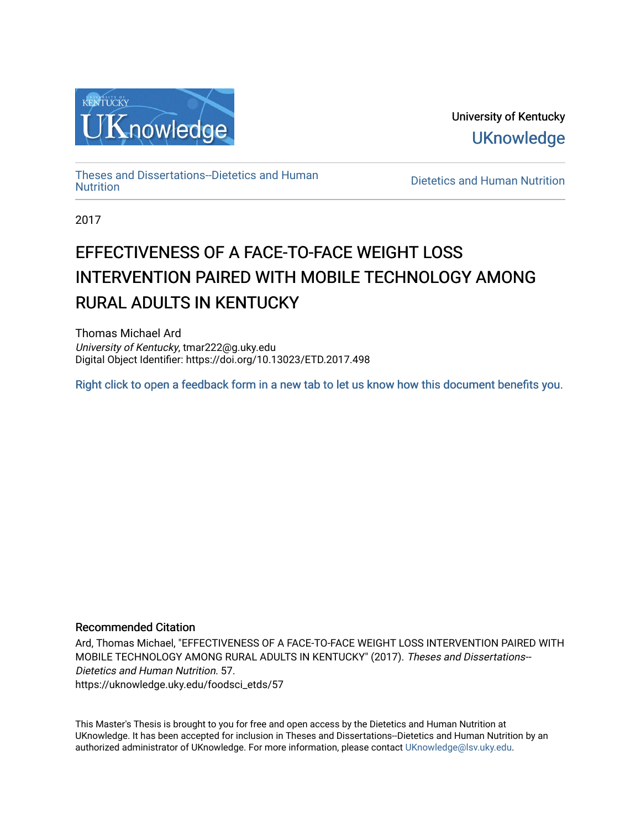

University of Kentucky **UKnowledge** 

[Theses and Dissertations--Dietetics and Human](https://uknowledge.uky.edu/foodsci_etds)

Dietetics and Human [Nutrition](https://uknowledge.uky.edu/foodsci_etds)

2017

# EFFECTIVENESS OF A FACE-TO-FACE WEIGHT LOSS INTERVENTION PAIRED WITH MOBILE TECHNOLOGY AMONG RURAL ADULTS IN KENTUCKY

Thomas Michael Ard University of Kentucky, tmar222@g.uky.edu Digital Object Identifier: https://doi.org/10.13023/ETD.2017.498

[Right click to open a feedback form in a new tab to let us know how this document benefits you.](https://uky.az1.qualtrics.com/jfe/form/SV_9mq8fx2GnONRfz7)

# Recommended Citation

Ard, Thomas Michael, "EFFECTIVENESS OF A FACE-TO-FACE WEIGHT LOSS INTERVENTION PAIRED WITH MOBILE TECHNOLOGY AMONG RURAL ADULTS IN KENTUCKY" (2017). Theses and Dissertations-- Dietetics and Human Nutrition. 57. https://uknowledge.uky.edu/foodsci\_etds/57

This Master's Thesis is brought to you for free and open access by the Dietetics and Human Nutrition at UKnowledge. It has been accepted for inclusion in Theses and Dissertations--Dietetics and Human Nutrition by an authorized administrator of UKnowledge. For more information, please contact [UKnowledge@lsv.uky.edu](mailto:UKnowledge@lsv.uky.edu).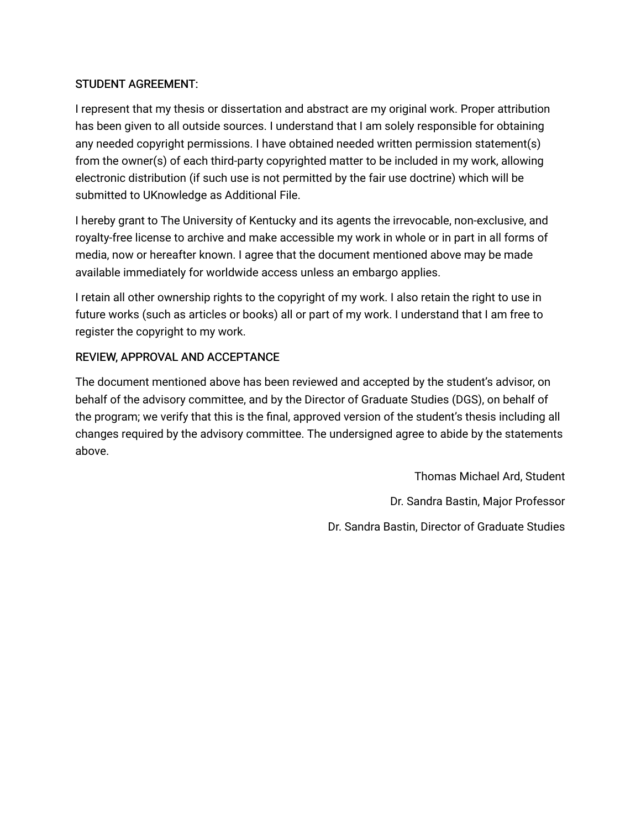# STUDENT AGREEMENT:

I represent that my thesis or dissertation and abstract are my original work. Proper attribution has been given to all outside sources. I understand that I am solely responsible for obtaining any needed copyright permissions. I have obtained needed written permission statement(s) from the owner(s) of each third-party copyrighted matter to be included in my work, allowing electronic distribution (if such use is not permitted by the fair use doctrine) which will be submitted to UKnowledge as Additional File.

I hereby grant to The University of Kentucky and its agents the irrevocable, non-exclusive, and royalty-free license to archive and make accessible my work in whole or in part in all forms of media, now or hereafter known. I agree that the document mentioned above may be made available immediately for worldwide access unless an embargo applies.

I retain all other ownership rights to the copyright of my work. I also retain the right to use in future works (such as articles or books) all or part of my work. I understand that I am free to register the copyright to my work.

# REVIEW, APPROVAL AND ACCEPTANCE

The document mentioned above has been reviewed and accepted by the student's advisor, on behalf of the advisory committee, and by the Director of Graduate Studies (DGS), on behalf of the program; we verify that this is the final, approved version of the student's thesis including all changes required by the advisory committee. The undersigned agree to abide by the statements above.

> Thomas Michael Ard, Student Dr. Sandra Bastin, Major Professor Dr. Sandra Bastin, Director of Graduate Studies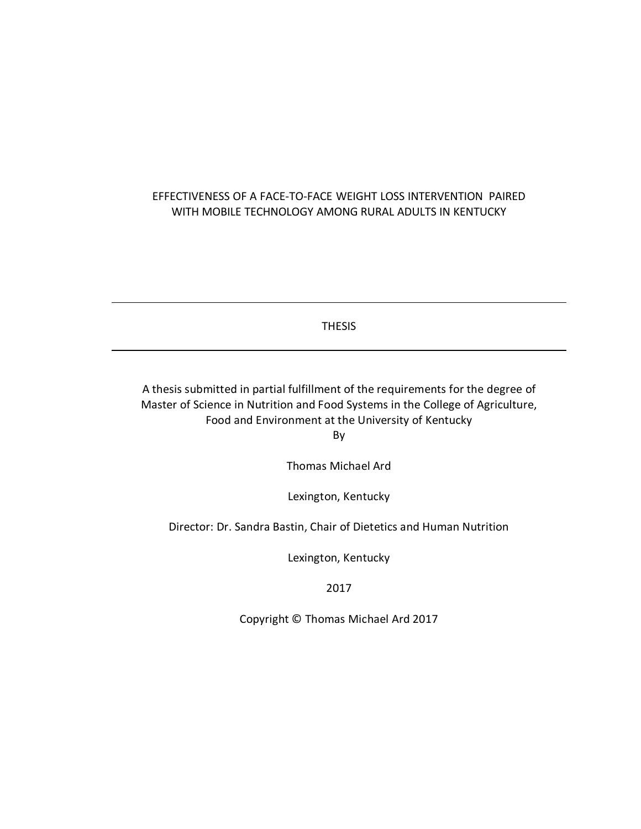# EFFECTIVENESS OF A FACE-TO-FACE WEIGHT LOSS INTERVENTION PAIRED WITH MOBILE TECHNOLOGY AMONG RURAL ADULTS IN KENTUCKY

THESIS

A thesis submitted in partial fulfillment of the requirements for the degree of Master of Science in Nutrition and Food Systems in the College of Agriculture, Food and Environment at the University of Kentucky By

Thomas Michael Ard

Lexington, Kentucky

Director: Dr. Sandra Bastin, Chair of Dietetics and Human Nutrition

Lexington, Kentucky

2017

Copyright © Thomas Michael Ard 2017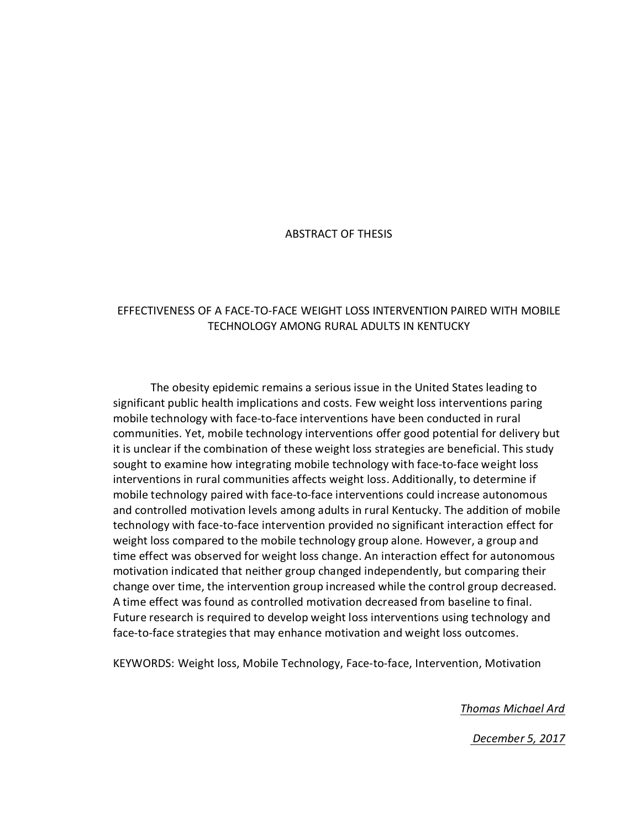## ABSTRACT OF THESIS

# EFFECTIVENESS OF A FACE-TO-FACE WEIGHT LOSS INTERVENTION PAIRED WITH MOBILE TECHNOLOGY AMONG RURAL ADULTS IN KENTUCKY

The obesity epidemic remains a serious issue in the United States leading to significant public health implications and costs. Few weight loss interventions paring mobile technology with face-to-face interventions have been conducted in rural communities. Yet, mobile technology interventions offer good potential for delivery but it is unclear if the combination of these weight loss strategies are beneficial. This study sought to examine how integrating mobile technology with face-to-face weight loss interventions in rural communities affects weight loss. Additionally, to determine if mobile technology paired with face-to-face interventions could increase autonomous and controlled motivation levels among adults in rural Kentucky. The addition of mobile technology with face-to-face intervention provided no significant interaction effect for weight loss compared to the mobile technology group alone. However, a group and time effect was observed for weight loss change. An interaction effect for autonomous motivation indicated that neither group changed independently, but comparing their change over time, the intervention group increased while the control group decreased. A time effect was found as controlled motivation decreased from baseline to final. Future research is required to develop weight loss interventions using technology and face-to-face strategies that may enhance motivation and weight loss outcomes.

KEYWORDS: Weight loss, Mobile Technology, Face-to-face, Intervention, Motivation

*Thomas Michael Ard*

*December 5, 2017*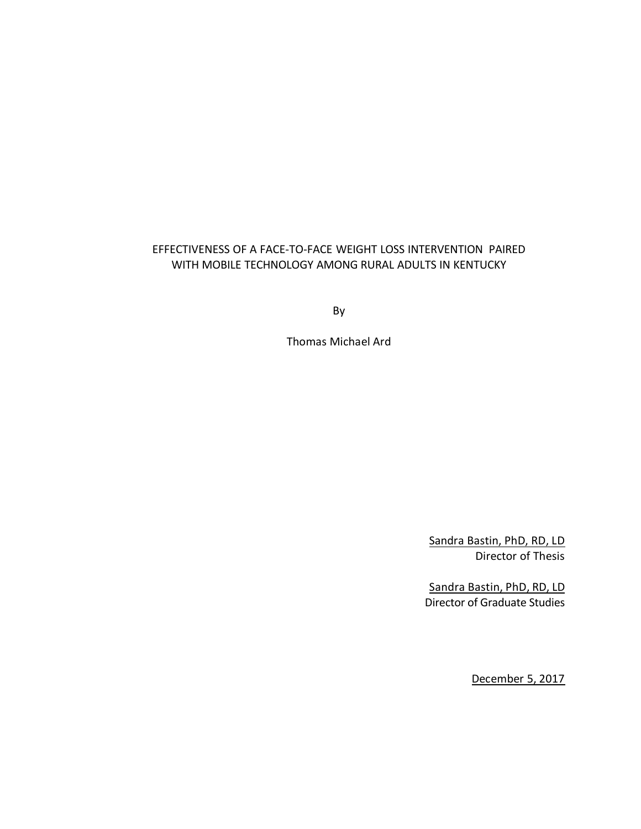# EFFECTIVENESS OF A FACE-TO-FACE WEIGHT LOSS INTERVENTION PAIRED WITH MOBILE TECHNOLOGY AMONG RURAL ADULTS IN KENTUCKY

By

Thomas Michael Ard

Sandra Bastin, PhD, RD, LD Director of Thesis

Sandra Bastin, PhD, RD, LD Director of Graduate Studies

December 5, 2017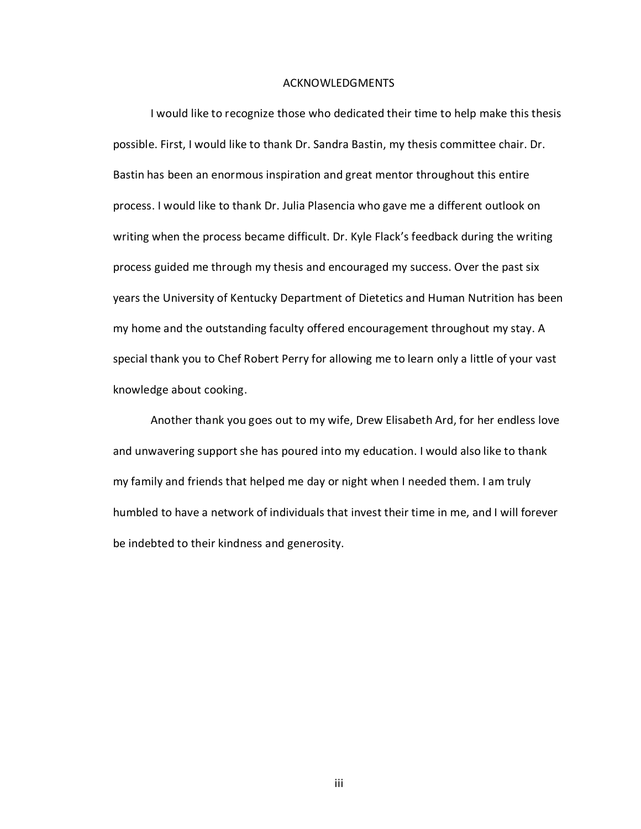#### ACKNOWLEDGMENTS

I would like to recognize those who dedicated their time to help make this thesis possible. First, I would like to thank Dr. Sandra Bastin, my thesis committee chair. Dr. Bastin has been an enormous inspiration and great mentor throughout this entire process. I would like to thank Dr. Julia Plasencia who gave me a different outlook on writing when the process became difficult. Dr. Kyle Flack's feedback during the writing process guided me through my thesis and encouraged my success. Over the past six years the University of Kentucky Department of Dietetics and Human Nutrition has been my home and the outstanding faculty offered encouragement throughout my stay. A special thank you to Chef Robert Perry for allowing me to learn only a little of your vast knowledge about cooking.

Another thank you goes out to my wife, Drew Elisabeth Ard, for her endless love and unwavering support she has poured into my education. I would also like to thank my family and friends that helped me day or night when I needed them. I am truly humbled to have a network of individuals that invest their time in me, and I will forever be indebted to their kindness and generosity.

iii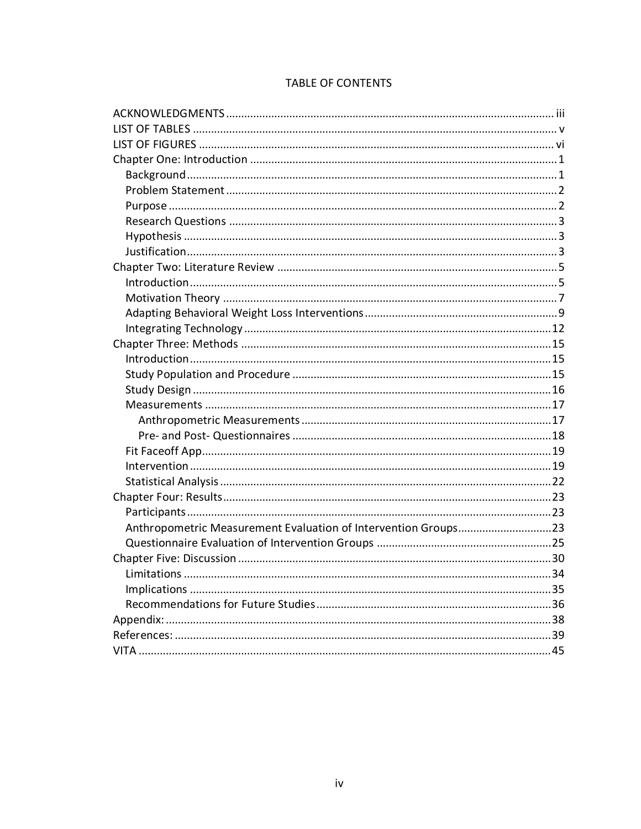| Anthropometric Measurement Evaluation of Intervention Groups23 |  |
|----------------------------------------------------------------|--|
|                                                                |  |
|                                                                |  |
|                                                                |  |
|                                                                |  |
|                                                                |  |
|                                                                |  |
|                                                                |  |
|                                                                |  |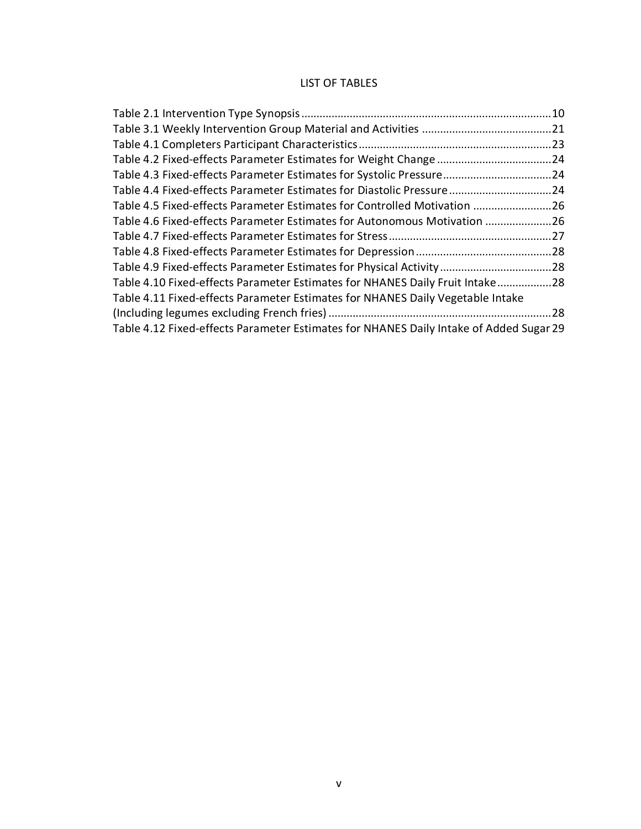# LIST OF TABLES

|                                                                                        | 21 |
|----------------------------------------------------------------------------------------|----|
|                                                                                        |    |
|                                                                                        |    |
|                                                                                        |    |
| Table 4.4 Fixed-effects Parameter Estimates for Diastolic Pressure  24                 |    |
| Table 4.5 Fixed-effects Parameter Estimates for Controlled Motivation 26               |    |
| Table 4.6 Fixed-effects Parameter Estimates for Autonomous Motivation 26               |    |
|                                                                                        |    |
|                                                                                        |    |
|                                                                                        |    |
| Table 4.10 Fixed-effects Parameter Estimates for NHANES Daily Fruit Intake28           |    |
| Table 4.11 Fixed-effects Parameter Estimates for NHANES Daily Vegetable Intake         |    |
|                                                                                        | 28 |
| Table 4.12 Fixed-effects Parameter Estimates for NHANES Daily Intake of Added Sugar 29 |    |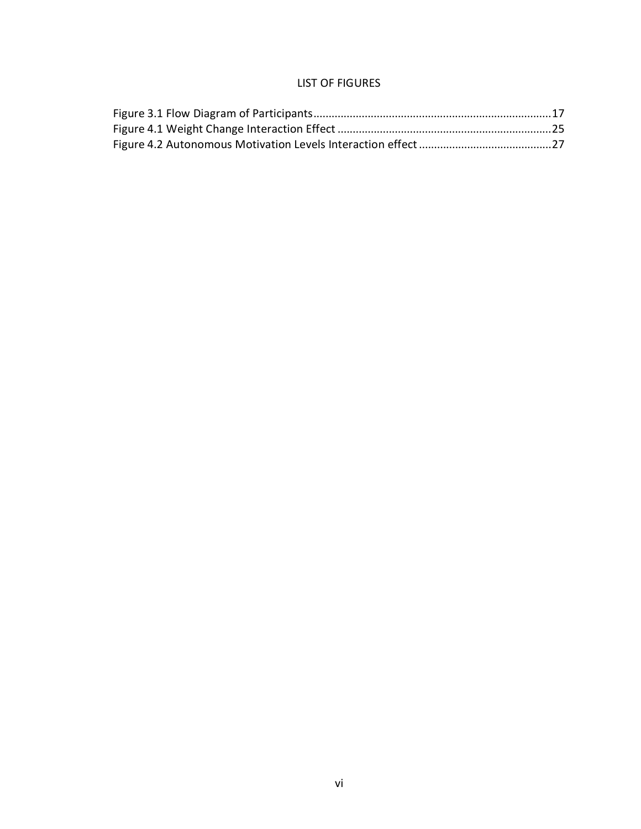# LIST OF FIGURES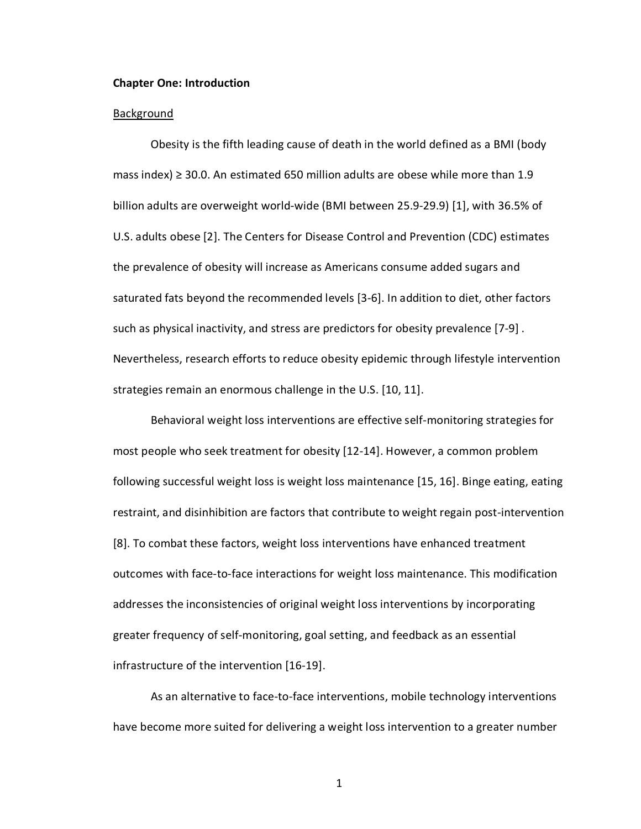#### **Chapter One: Introduction**

#### **Background**

Obesity is the fifth leading cause of death in the world defined as a BMI (body mass index) ≥ 30.0. An estimated 650 million adults are obese while more than 1.9 billion adults are overweight world-wide (BMI between 25.9-29.9) [1], with 36.5% of U.S. adults obese [2]. The Centers for Disease Control and Prevention (CDC) estimates the prevalence of obesity will increase as Americans consume added sugars and saturated fats beyond the recommended levels [3-6]. In addition to diet, other factors such as physical inactivity, and stress are predictors for obesity prevalence [7-9] . Nevertheless, research efforts to reduce obesity epidemic through lifestyle intervention strategies remain an enormous challenge in the U.S. [10, 11].

Behavioral weight loss interventions are effective self-monitoring strategies for most people who seek treatment for obesity [12-14]. However, a common problem following successful weight loss is weight loss maintenance [15, 16]. Binge eating, eating restraint, and disinhibition are factors that contribute to weight regain post-intervention [8]. To combat these factors, weight loss interventions have enhanced treatment outcomes with face-to-face interactions for weight loss maintenance. This modification addresses the inconsistencies of original weight loss interventions by incorporating greater frequency of self-monitoring, goal setting, and feedback as an essential infrastructure of the intervention [16-19].

As an alternative to face-to-face interventions, mobile technology interventions have become more suited for delivering a weight loss intervention to a greater number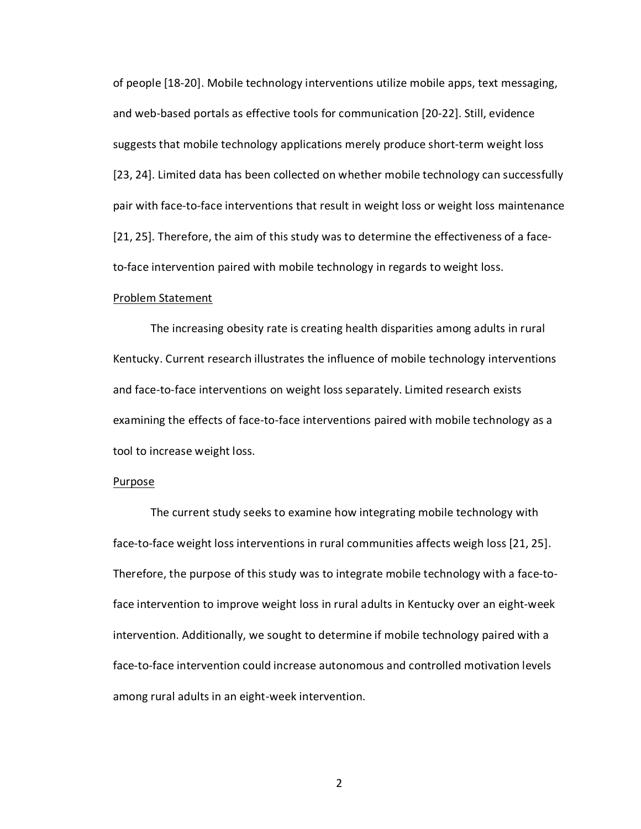of people [18-20]. Mobile technology interventions utilize mobile apps, text messaging, and web-based portals as effective tools for communication [20-22]. Still, evidence suggests that mobile technology applications merely produce short-term weight loss [23, 24]. Limited data has been collected on whether mobile technology can successfully pair with face-to-face interventions that result in weight loss or weight loss maintenance [21, 25]. Therefore, the aim of this study was to determine the effectiveness of a faceto-face intervention paired with mobile technology in regards to weight loss.

#### Problem Statement

The increasing obesity rate is creating health disparities among adults in rural Kentucky. Current research illustrates the influence of mobile technology interventions and face-to-face interventions on weight loss separately. Limited research exists examining the effects of face-to-face interventions paired with mobile technology as a tool to increase weight loss.

#### Purpose

The current study seeks to examine how integrating mobile technology with face-to-face weight loss interventions in rural communities affects weigh loss [21, 25]. Therefore, the purpose of this study was to integrate mobile technology with a face-toface intervention to improve weight loss in rural adults in Kentucky over an eight-week intervention. Additionally, we sought to determine if mobile technology paired with a face-to-face intervention could increase autonomous and controlled motivation levels among rural adults in an eight-week intervention.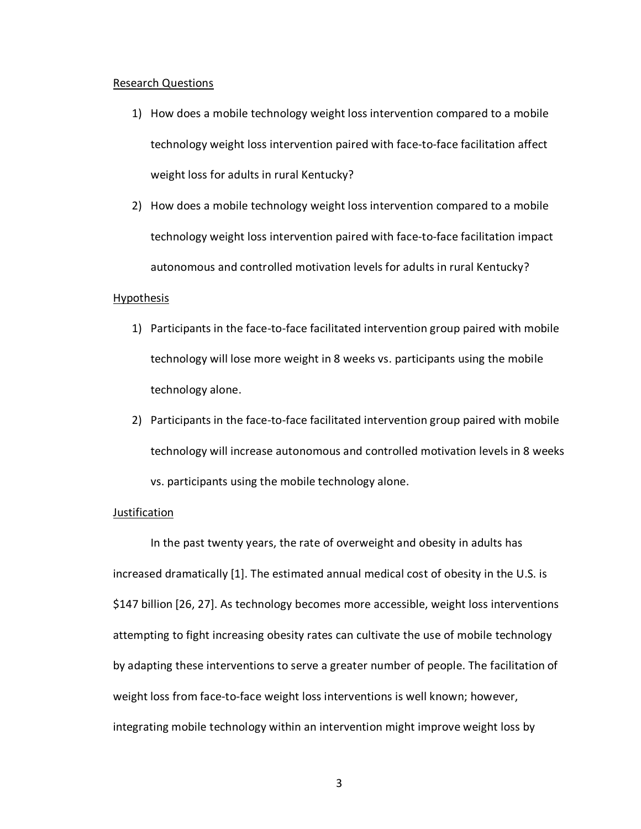#### Research Questions

- 1) How does a mobile technology weight loss intervention compared to a mobile technology weight loss intervention paired with face-to-face facilitation affect weight loss for adults in rural Kentucky?
- 2) How does a mobile technology weight loss intervention compared to a mobile technology weight loss intervention paired with face-to-face facilitation impact autonomous and controlled motivation levels for adults in rural Kentucky?

#### Hypothesis

- 1) Participants in the face-to-face facilitated intervention group paired with mobile technology will lose more weight in 8 weeks vs. participants using the mobile technology alone.
- 2) Participants in the face-to-face facilitated intervention group paired with mobile technology will increase autonomous and controlled motivation levels in 8 weeks vs. participants using the mobile technology alone.

## **Justification**

In the past twenty years, the rate of overweight and obesity in adults has increased dramatically [1]. The estimated annual medical cost of obesity in the U.S. is \$147 billion [26, 27]. As technology becomes more accessible, weight loss interventions attempting to fight increasing obesity rates can cultivate the use of mobile technology by adapting these interventions to serve a greater number of people. The facilitation of weight loss from face-to-face weight loss interventions is well known; however, integrating mobile technology within an intervention might improve weight loss by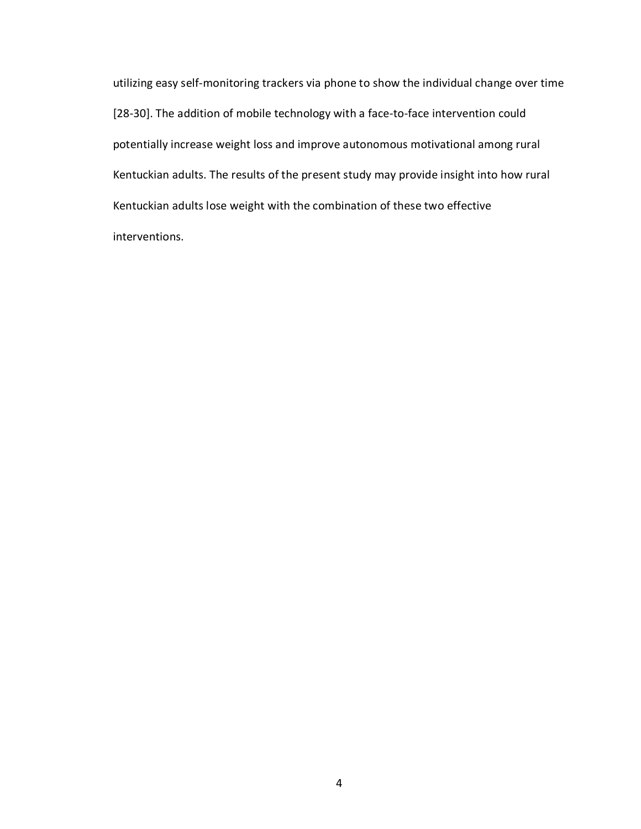utilizing easy self-monitoring trackers via phone to show the individual change over time [28-30]. The addition of mobile technology with a face-to-face intervention could potentially increase weight loss and improve autonomous motivational among rural Kentuckian adults. The results of the present study may provide insight into how rural Kentuckian adults lose weight with the combination of these two effective interventions.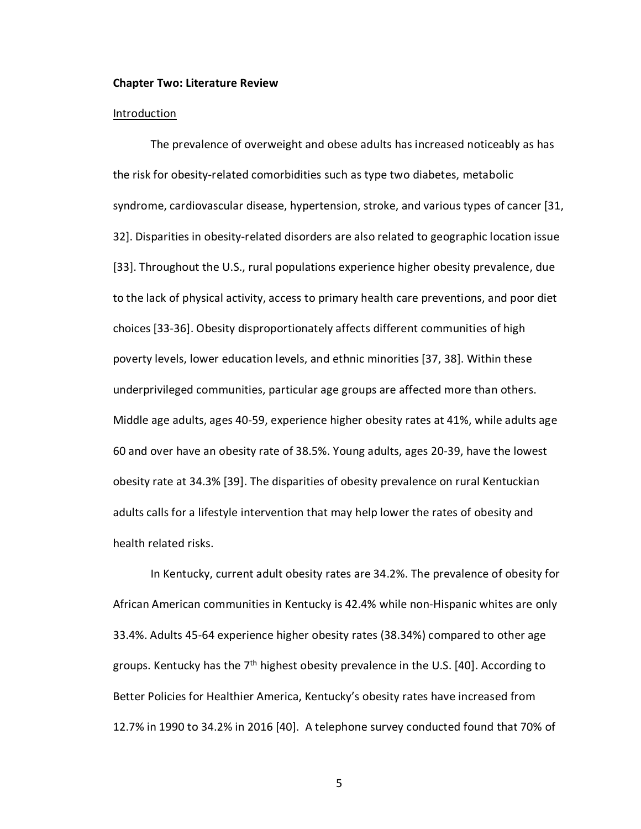#### **Chapter Two: Literature Review**

#### **Introduction**

The prevalence of overweight and obese adults has increased noticeably as has the risk for obesity-related comorbidities such as type two diabetes, metabolic syndrome, cardiovascular disease, hypertension, stroke, and various types of cancer [31, 32]. Disparities in obesity-related disorders are also related to geographic location issue [33]. Throughout the U.S., rural populations experience higher obesity prevalence, due to the lack of physical activity, access to primary health care preventions, and poor diet choices [33-36]. Obesity disproportionately affects different communities of high poverty levels, lower education levels, and ethnic minorities [37, 38]. Within these underprivileged communities, particular age groups are affected more than others. Middle age adults, ages 40-59, experience higher obesity rates at 41%, while adults age 60 and over have an obesity rate of 38.5%. Young adults, ages 20-39, have the lowest obesity rate at 34.3% [39]. The disparities of obesity prevalence on rural Kentuckian adults calls for a lifestyle intervention that may help lower the rates of obesity and health related risks.

In Kentucky, current adult obesity rates are 34.2%. The prevalence of obesity for African American communities in Kentucky is 42.4% while non-Hispanic whites are only 33.4%. Adults 45-64 experience higher obesity rates (38.34%) compared to other age groups. Kentucky has the  $7<sup>th</sup>$  highest obesity prevalence in the U.S. [40]. According to Better Policies for Healthier America, Kentucky's obesity rates have increased from 12.7% in 1990 to 34.2% in 2016 [40]. A telephone survey conducted found that 70% of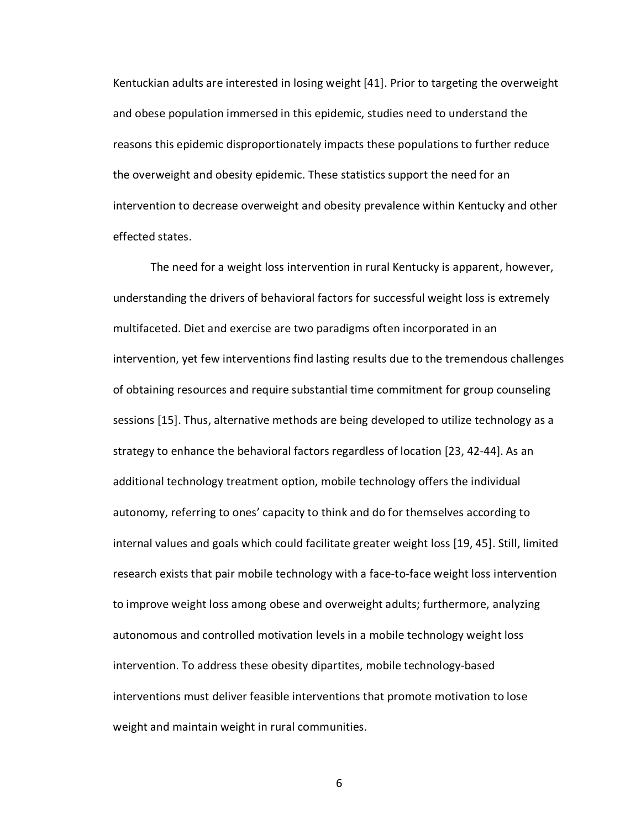Kentuckian adults are interested in losing weight [41]. Prior to targeting the overweight and obese population immersed in this epidemic, studies need to understand the reasons this epidemic disproportionately impacts these populations to further reduce the overweight and obesity epidemic. These statistics support the need for an intervention to decrease overweight and obesity prevalence within Kentucky and other effected states.

The need for a weight loss intervention in rural Kentucky is apparent, however, understanding the drivers of behavioral factors for successful weight loss is extremely multifaceted. Diet and exercise are two paradigms often incorporated in an intervention, yet few interventions find lasting results due to the tremendous challenges of obtaining resources and require substantial time commitment for group counseling sessions [15]. Thus, alternative methods are being developed to utilize technology as a strategy to enhance the behavioral factors regardless of location [23, 42-44]. As an additional technology treatment option, mobile technology offers the individual autonomy, referring to ones' capacity to think and do for themselves according to internal values and goals which could facilitate greater weight loss [19, 45]. Still, limited research exists that pair mobile technology with a face-to-face weight loss intervention to improve weight loss among obese and overweight adults; furthermore, analyzing autonomous and controlled motivation levels in a mobile technology weight loss intervention. To address these obesity dipartites, mobile technology-based interventions must deliver feasible interventions that promote motivation to lose weight and maintain weight in rural communities.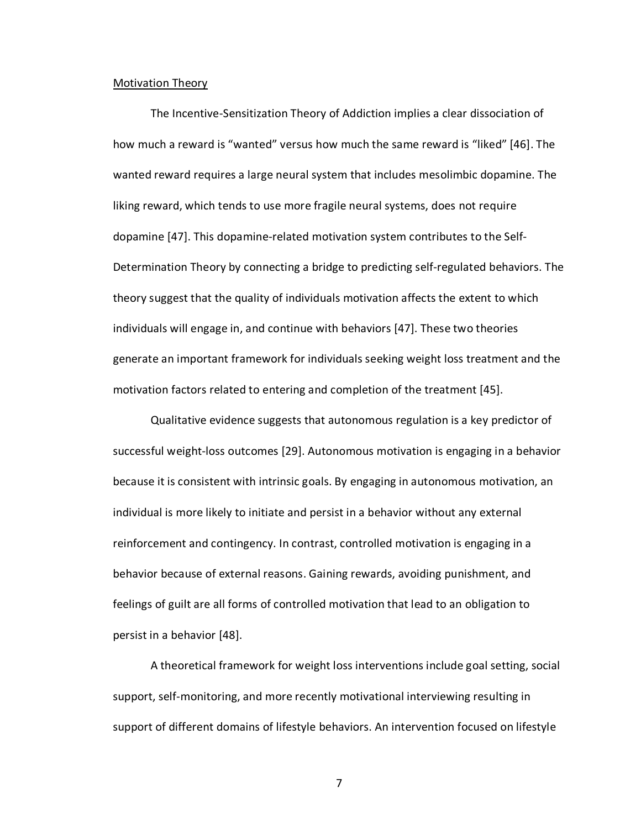#### Motivation Theory

The Incentive-Sensitization Theory of Addiction implies a clear dissociation of how much a reward is "wanted" versus how much the same reward is "liked" [46]. The wanted reward requires a large neural system that includes mesolimbic dopamine. The liking reward, which tends to use more fragile neural systems, does not require dopamine [47]. This dopamine-related motivation system contributes to the Self-Determination Theory by connecting a bridge to predicting self-regulated behaviors. The theory suggest that the quality of individuals motivation affects the extent to which individuals will engage in, and continue with behaviors [47]. These two theories generate an important framework for individuals seeking weight loss treatment and the motivation factors related to entering and completion of the treatment [45].

Qualitative evidence suggests that autonomous regulation is a key predictor of successful weight-loss outcomes [29]. Autonomous motivation is engaging in a behavior because it is consistent with intrinsic goals. By engaging in autonomous motivation, an individual is more likely to initiate and persist in a behavior without any external reinforcement and contingency. In contrast, controlled motivation is engaging in a behavior because of external reasons. Gaining rewards, avoiding punishment, and feelings of guilt are all forms of controlled motivation that lead to an obligation to persist in a behavior [48].

A theoretical framework for weight loss interventions include goal setting, social support, self-monitoring, and more recently motivational interviewing resulting in support of different domains of lifestyle behaviors. An intervention focused on lifestyle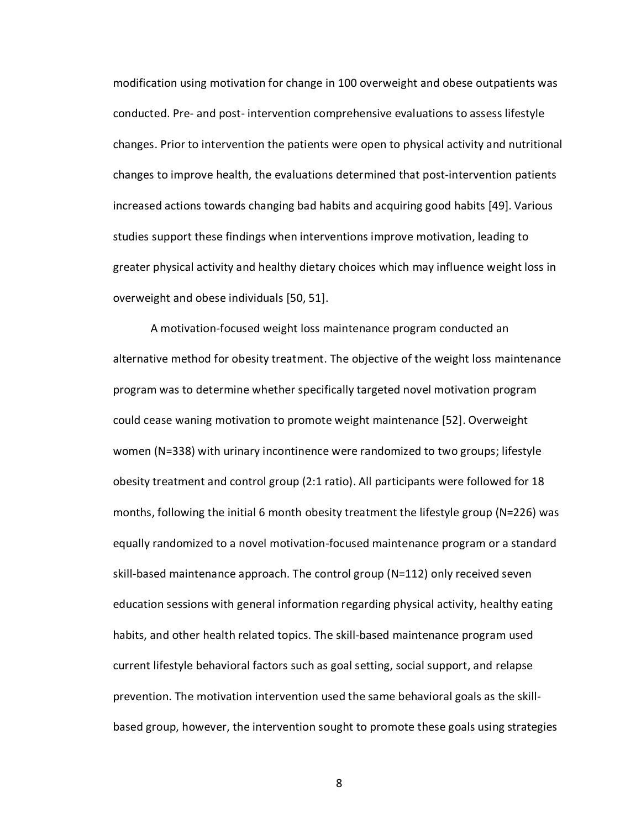modification using motivation for change in 100 overweight and obese outpatients was conducted. Pre- and post- intervention comprehensive evaluations to assess lifestyle changes. Prior to intervention the patients were open to physical activity and nutritional changes to improve health, the evaluations determined that post-intervention patients increased actions towards changing bad habits and acquiring good habits [49]. Various studies support these findings when interventions improve motivation, leading to greater physical activity and healthy dietary choices which may influence weight loss in overweight and obese individuals [50, 51].

A motivation-focused weight loss maintenance program conducted an alternative method for obesity treatment. The objective of the weight loss maintenance program was to determine whether specifically targeted novel motivation program could cease waning motivation to promote weight maintenance [52]. Overweight women (N=338) with urinary incontinence were randomized to two groups; lifestyle obesity treatment and control group (2:1 ratio). All participants were followed for 18 months, following the initial 6 month obesity treatment the lifestyle group (N=226) was equally randomized to a novel motivation-focused maintenance program or a standard skill-based maintenance approach. The control group (N=112) only received seven education sessions with general information regarding physical activity, healthy eating habits, and other health related topics. The skill-based maintenance program used current lifestyle behavioral factors such as goal setting, social support, and relapse prevention. The motivation intervention used the same behavioral goals as the skillbased group, however, the intervention sought to promote these goals using strategies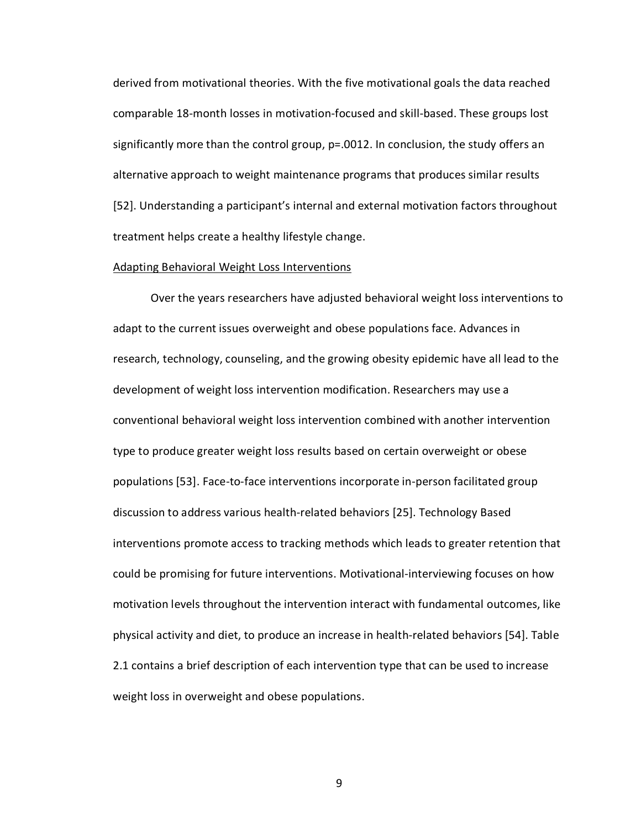derived from motivational theories. With the five motivational goals the data reached comparable 18-month losses in motivation-focused and skill-based. These groups lost significantly more than the control group, p=.0012. In conclusion, the study offers an alternative approach to weight maintenance programs that produces similar results [52]. Understanding a participant's internal and external motivation factors throughout treatment helps create a healthy lifestyle change.

#### Adapting Behavioral Weight Loss Interventions

Over the years researchers have adjusted behavioral weight loss interventions to adapt to the current issues overweight and obese populations face. Advances in research, technology, counseling, and the growing obesity epidemic have all lead to the development of weight loss intervention modification. Researchers may use a conventional behavioral weight loss intervention combined with another intervention type to produce greater weight loss results based on certain overweight or obese populations [53]. Face-to-face interventions incorporate in-person facilitated group discussion to address various health-related behaviors [25]. Technology Based interventions promote access to tracking methods which leads to greater retention that could be promising for future interventions. Motivational-interviewing focuses on how motivation levels throughout the intervention interact with fundamental outcomes, like physical activity and diet, to produce an increase in health-related behaviors [54]. Table 2.1 contains a brief description of each intervention type that can be used to increase weight loss in overweight and obese populations.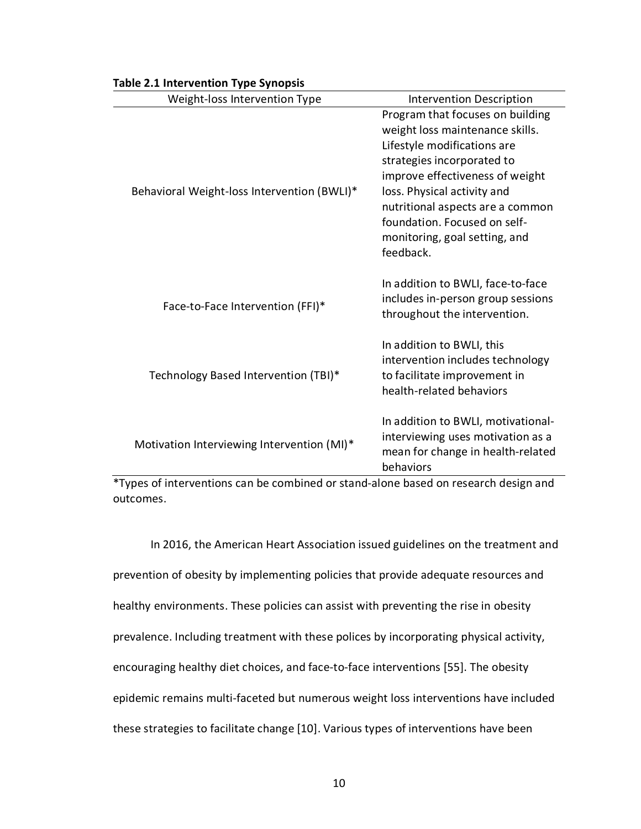| $\mathbf{r}$ . $\mathbf{r}$                 |                                                                                                                                                                                                                                                                                                                      |
|---------------------------------------------|----------------------------------------------------------------------------------------------------------------------------------------------------------------------------------------------------------------------------------------------------------------------------------------------------------------------|
| Weight-loss Intervention Type               | <b>Intervention Description</b>                                                                                                                                                                                                                                                                                      |
| Behavioral Weight-loss Intervention (BWLI)* | Program that focuses on building<br>weight loss maintenance skills.<br>Lifestyle modifications are<br>strategies incorporated to<br>improve effectiveness of weight<br>loss. Physical activity and<br>nutritional aspects are a common<br>foundation. Focused on self-<br>monitoring, goal setting, and<br>feedback. |
| Face-to-Face Intervention (FFI)*            | In addition to BWLI, face-to-face<br>includes in-person group sessions<br>throughout the intervention.                                                                                                                                                                                                               |
| Technology Based Intervention (TBI)*        | In addition to BWLI, this<br>intervention includes technology<br>to facilitate improvement in<br>health-related behaviors                                                                                                                                                                                            |
| Motivation Interviewing Intervention (MI)*  | In addition to BWLI, motivational-<br>interviewing uses motivation as a<br>mean for change in health-related<br>behaviors                                                                                                                                                                                            |

# **Table 2.1 Intervention Type Synopsis**

\*Types of interventions can be combined or stand-alone based on research design and outcomes.

In 2016, the American Heart Association issued guidelines on the treatment and prevention of obesity by implementing policies that provide adequate resources and healthy environments. These policies can assist with preventing the rise in obesity prevalence. Including treatment with these polices by incorporating physical activity, encouraging healthy diet choices, and face-to-face interventions [55]. The obesity epidemic remains multi-faceted but numerous weight loss interventions have included these strategies to facilitate change [10]. Various types of interventions have been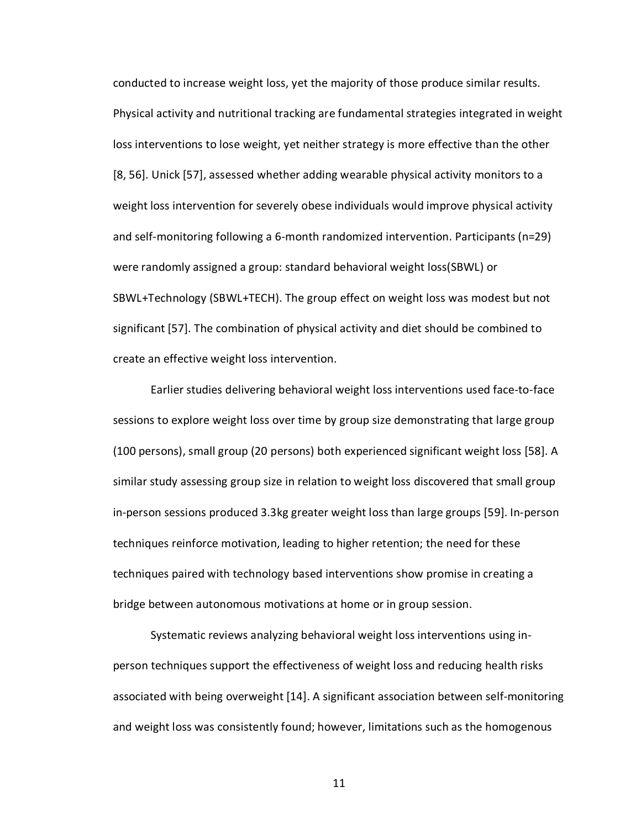conducted to increase weight loss, yet the majority of those produce similar results. Physical activity and nutritional tracking are fundamental strategies integrated in weight loss interventions to lose weight, yet neither strategy is more effective than the other [8, 56]. Unick [57], assessed whether adding wearable physical activity monitors to a weight loss intervention for severely obese individuals would improve physical activity and self-monitoring following a 6-month randomized intervention. Participants (n=29) were randomly assigned a group: standard behavioral weight loss(SBWL) or SBWL+Technology (SBWL+TECH). The group effect on weight loss was modest but not significant [57]. The combination of physical activity and diet should be combined to create an effective weight loss intervention.

Earlier studies delivering behavioral weight loss interventions used face-to-face sessions to explore weight loss over time by group size demonstrating that large group (100 persons), small group (20 persons) both experienced significant weight loss [58]. A similar study assessing group size in relation to weight loss discovered that small group in-person sessions produced 3.3kg greater weight loss than large groups [59]. In-person techniques reinforce motivation, leading to higher retention; the need for these techniques paired with technology based interventions show promise in creating a bridge between autonomous motivations at home or in group session.

Systematic reviews analyzing behavioral weight loss interventions using inperson techniques support the effectiveness of weight loss and reducing health risks associated with being overweight [14]. A significant association between self-monitoring and weight loss was consistently found; however, limitations such as the homogenous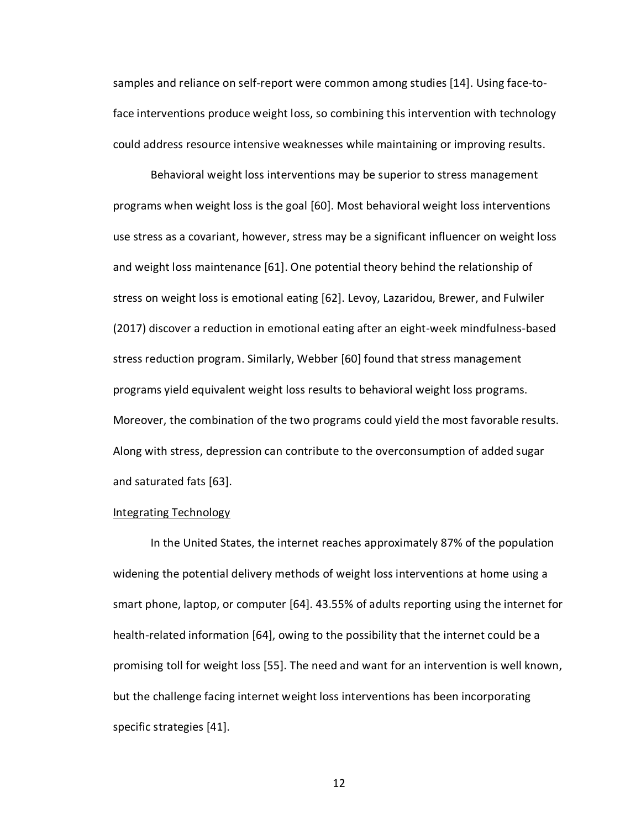samples and reliance on self-report were common among studies [14]. Using face-toface interventions produce weight loss, so combining this intervention with technology could address resource intensive weaknesses while maintaining or improving results.

Behavioral weight loss interventions may be superior to stress management programs when weight loss is the goal [60]. Most behavioral weight loss interventions use stress as a covariant, however, stress may be a significant influencer on weight loss and weight loss maintenance [61]. One potential theory behind the relationship of stress on weight loss is emotional eating [62]. Levoy, Lazaridou, Brewer, and Fulwiler (2017) discover a reduction in emotional eating after an eight-week mindfulness-based stress reduction program. Similarly, Webber [60] found that stress management programs yield equivalent weight loss results to behavioral weight loss programs. Moreover, the combination of the two programs could yield the most favorable results. Along with stress, depression can contribute to the overconsumption of added sugar and saturated fats [63].

## Integrating Technology

In the United States, the internet reaches approximately 87% of the population widening the potential delivery methods of weight loss interventions at home using a smart phone, laptop, or computer [64]. 43.55% of adults reporting using the internet for health-related information [64], owing to the possibility that the internet could be a promising toll for weight loss [55]. The need and want for an intervention is well known, but the challenge facing internet weight loss interventions has been incorporating specific strategies [41].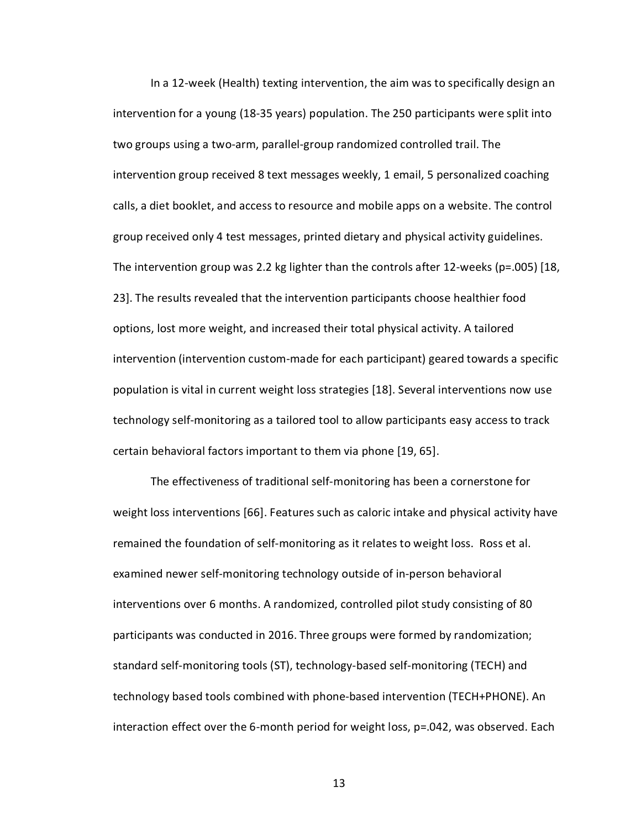In a 12-week (Health) texting intervention, the aim was to specifically design an intervention for a young (18-35 years) population. The 250 participants were split into two groups using a two-arm, parallel-group randomized controlled trail. The intervention group received 8 text messages weekly, 1 email, 5 personalized coaching calls, a diet booklet, and access to resource and mobile apps on a website. The control group received only 4 test messages, printed dietary and physical activity guidelines. The intervention group was 2.2 kg lighter than the controls after 12-weeks (p=.005) [18, 23]. The results revealed that the intervention participants choose healthier food options, lost more weight, and increased their total physical activity. A tailored intervention (intervention custom-made for each participant) geared towards a specific population is vital in current weight loss strategies [18]. Several interventions now use technology self-monitoring as a tailored tool to allow participants easy access to track certain behavioral factors important to them via phone [19, 65].

The effectiveness of traditional self-monitoring has been a cornerstone for weight loss interventions [66]. Features such as caloric intake and physical activity have remained the foundation of self-monitoring as it relates to weight loss. Ross et al. examined newer self-monitoring technology outside of in-person behavioral interventions over 6 months. A randomized, controlled pilot study consisting of 80 participants was conducted in 2016. Three groups were formed by randomization; standard self-monitoring tools (ST), technology-based self-monitoring (TECH) and technology based tools combined with phone-based intervention (TECH+PHONE). An interaction effect over the 6-month period for weight loss, p=.042, was observed. Each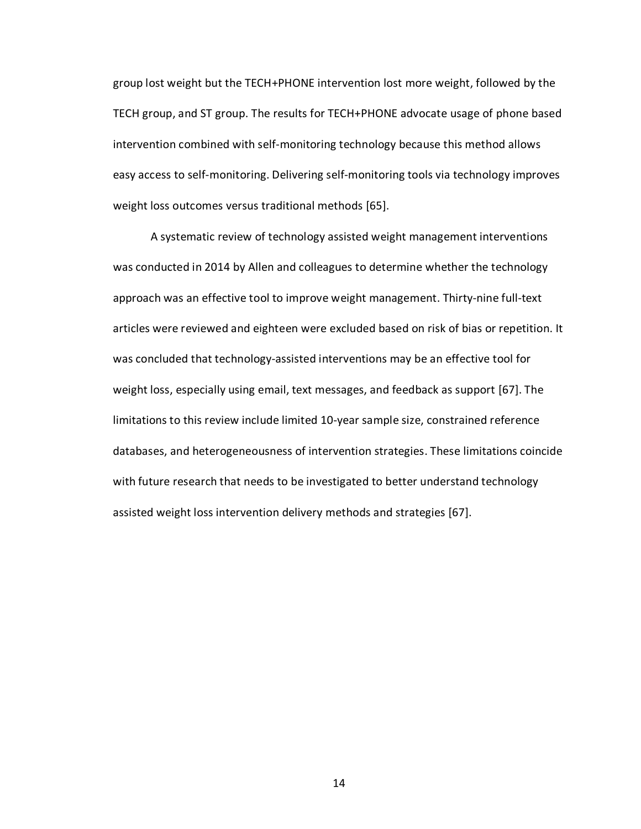group lost weight but the TECH+PHONE intervention lost more weight, followed by the TECH group, and ST group. The results for TECH+PHONE advocate usage of phone based intervention combined with self-monitoring technology because this method allows easy access to self-monitoring. Delivering self-monitoring tools via technology improves weight loss outcomes versus traditional methods [65].

A systematic review of technology assisted weight management interventions was conducted in 2014 by Allen and colleagues to determine whether the technology approach was an effective tool to improve weight management. Thirty-nine full-text articles were reviewed and eighteen were excluded based on risk of bias or repetition. It was concluded that technology-assisted interventions may be an effective tool for weight loss, especially using email, text messages, and feedback as support [67]. The limitations to this review include limited 10-year sample size, constrained reference databases, and heterogeneousness of intervention strategies. These limitations coincide with future research that needs to be investigated to better understand technology assisted weight loss intervention delivery methods and strategies [67].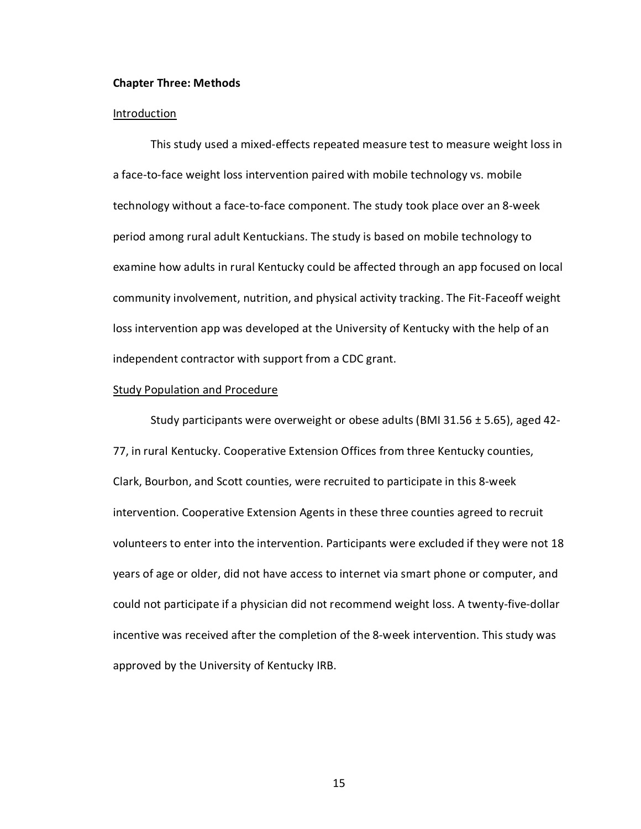#### **Chapter Three: Methods**

#### **Introduction**

This study used a mixed-effects repeated measure test to measure weight loss in a face-to-face weight loss intervention paired with mobile technology vs. mobile technology without a face-to-face component. The study took place over an 8-week period among rural adult Kentuckians. The study is based on mobile technology to examine how adults in rural Kentucky could be affected through an app focused on local community involvement, nutrition, and physical activity tracking. The Fit-Faceoff weight loss intervention app was developed at the University of Kentucky with the help of an independent contractor with support from a CDC grant.

#### Study Population and Procedure

Study participants were overweight or obese adults (BMI 31.56 ± 5.65), aged 42- 77, in rural Kentucky. Cooperative Extension Offices from three Kentucky counties, Clark, Bourbon, and Scott counties, were recruited to participate in this 8-week intervention. Cooperative Extension Agents in these three counties agreed to recruit volunteers to enter into the intervention. Participants were excluded if they were not 18 years of age or older, did not have access to internet via smart phone or computer, and could not participate if a physician did not recommend weight loss. A twenty-five-dollar incentive was received after the completion of the 8-week intervention. This study was approved by the University of Kentucky IRB.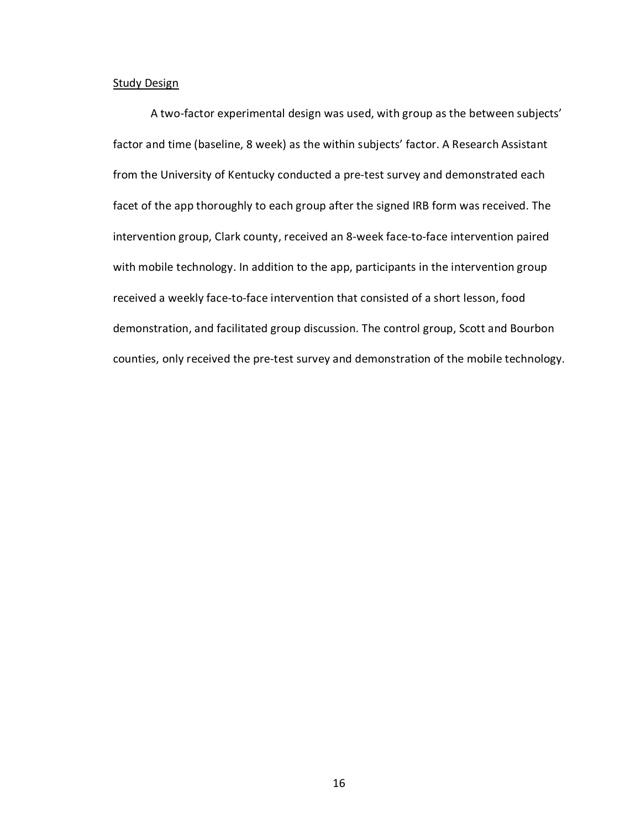# **Study Design**

A two-factor experimental design was used, with group as the between subjects' factor and time (baseline, 8 week) as the within subjects' factor. A Research Assistant from the University of Kentucky conducted a pre-test survey and demonstrated each facet of the app thoroughly to each group after the signed IRB form was received. The intervention group, Clark county, received an 8-week face-to-face intervention paired with mobile technology. In addition to the app, participants in the intervention group received a weekly face-to-face intervention that consisted of a short lesson, food demonstration, and facilitated group discussion. The control group, Scott and Bourbon counties, only received the pre-test survey and demonstration of the mobile technology.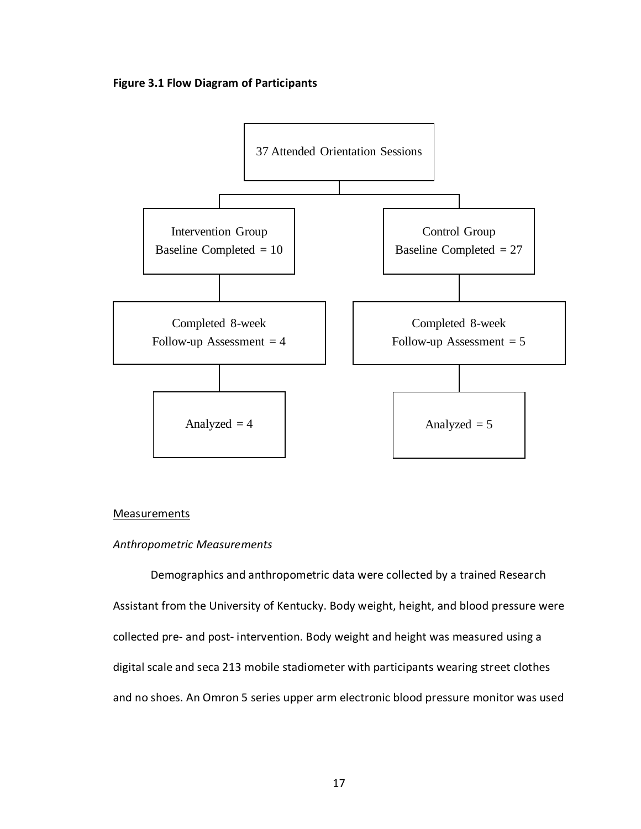**Figure 3.1 Flow Diagram of Participants**



#### **Measurements**

#### *Anthropometric Measurements*

Demographics and anthropometric data were collected by a trained Research Assistant from the University of Kentucky. Body weight, height, and blood pressure were collected pre- and post- intervention. Body weight and height was measured using a digital scale and seca 213 mobile stadiometer with participants wearing street clothes and no shoes. An Omron 5 series upper arm electronic blood pressure monitor was used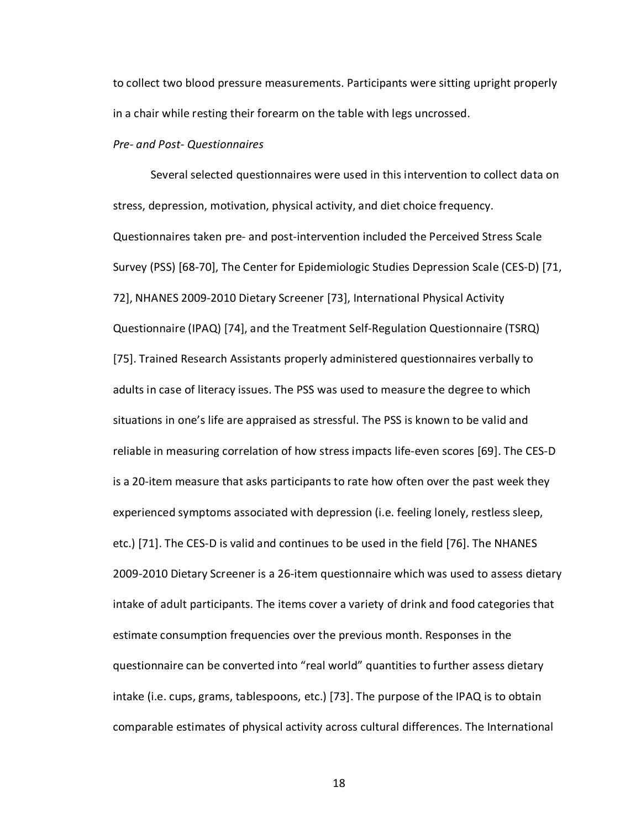to collect two blood pressure measurements. Participants were sitting upright properly in a chair while resting their forearm on the table with legs uncrossed.

## *Pre- and Post- Questionnaires*

Several selected questionnaires were used in this intervention to collect data on stress, depression, motivation, physical activity, and diet choice frequency. Questionnaires taken pre- and post-intervention included the Perceived Stress Scale Survey (PSS) [68-70], The Center for Epidemiologic Studies Depression Scale (CES-D) [71, 72], NHANES 2009-2010 Dietary Screener [73], International Physical Activity Questionnaire (IPAQ) [74], and the Treatment Self-Regulation Questionnaire (TSRQ) [75]. Trained Research Assistants properly administered questionnaires verbally to adults in case of literacy issues. The PSS was used to measure the degree to which situations in one's life are appraised as stressful. The PSS is known to be valid and reliable in measuring correlation of how stress impacts life-even scores [69]. The CES-D is a 20-item measure that asks participants to rate how often over the past week they experienced symptoms associated with depression (i.e. feeling lonely, restless sleep, etc.) [71]. The CES-D is valid and continues to be used in the field [76]. The NHANES 2009-2010 Dietary Screener is a 26-item questionnaire which was used to assess dietary intake of adult participants. The items cover a variety of drink and food categories that estimate consumption frequencies over the previous month. Responses in the questionnaire can be converted into "real world" quantities to further assess dietary intake (i.e. cups, grams, tablespoons, etc.) [73]. The purpose of the IPAQ is to obtain comparable estimates of physical activity across cultural differences. The International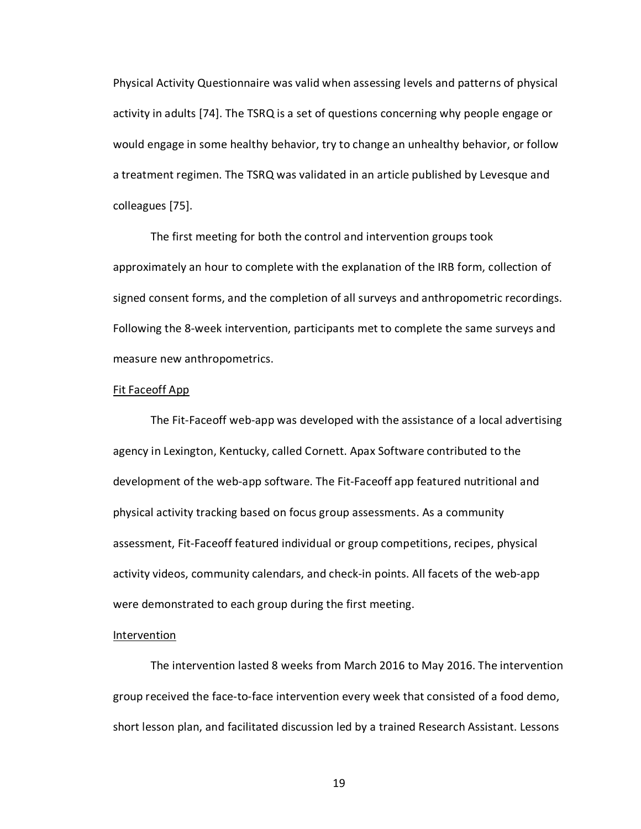Physical Activity Questionnaire was valid when assessing levels and patterns of physical activity in adults [74]. The TSRQ is a set of questions concerning why people engage or would engage in some healthy behavior, try to change an unhealthy behavior, or follow a treatment regimen. The TSRQ was validated in an article published by Levesque and colleagues [75].

The first meeting for both the control and intervention groups took approximately an hour to complete with the explanation of the IRB form, collection of signed consent forms, and the completion of all surveys and anthropometric recordings. Following the 8-week intervention, participants met to complete the same surveys and measure new anthropometrics.

#### Fit Faceoff App

The Fit-Faceoff web-app was developed with the assistance of a local advertising agency in Lexington, Kentucky, called Cornett. Apax Software contributed to the development of the web-app software. The Fit-Faceoff app featured nutritional and physical activity tracking based on focus group assessments. As a community assessment, Fit-Faceoff featured individual or group competitions, recipes, physical activity videos, community calendars, and check-in points. All facets of the web-app were demonstrated to each group during the first meeting.

## Intervention

The intervention lasted 8 weeks from March 2016 to May 2016. The intervention group received the face-to-face intervention every week that consisted of a food demo, short lesson plan, and facilitated discussion led by a trained Research Assistant. Lessons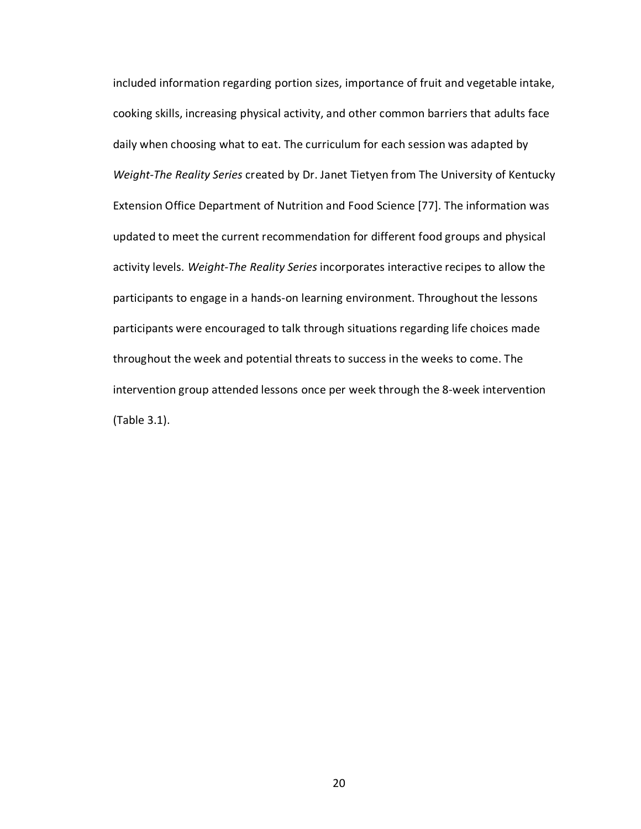included information regarding portion sizes, importance of fruit and vegetable intake, cooking skills, increasing physical activity, and other common barriers that adults face daily when choosing what to eat. The curriculum for each session was adapted by *Weight-The Reality Series* created by Dr. Janet Tietyen from The University of Kentucky Extension Office Department of Nutrition and Food Science [77]. The information was updated to meet the current recommendation for different food groups and physical activity levels. *Weight-The Reality Series* incorporates interactive recipes to allow the participants to engage in a hands-on learning environment. Throughout the lessons participants were encouraged to talk through situations regarding life choices made throughout the week and potential threats to success in the weeks to come. The intervention group attended lessons once per week through the 8-week intervention (Table 3.1).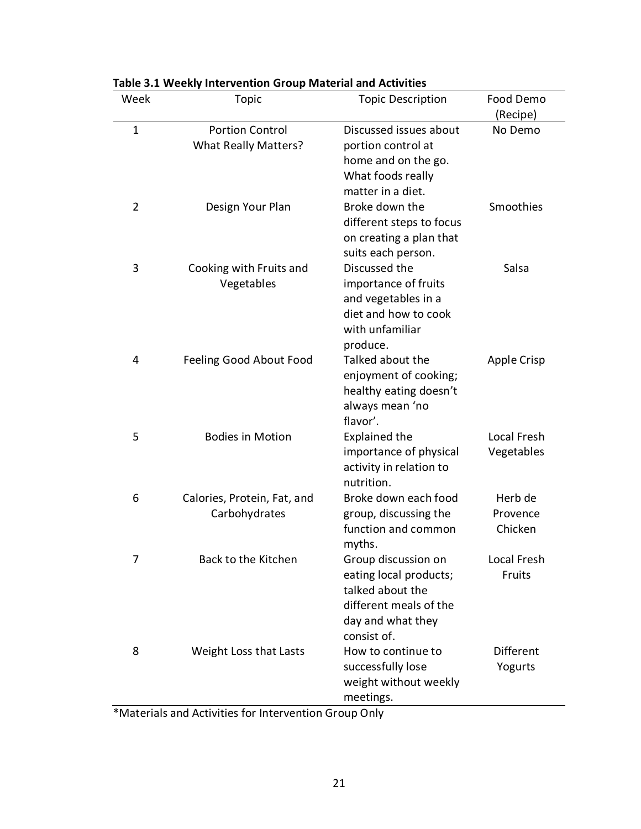| Week           | Topic                                                 | <b>Topic Description</b>                                                                                                        | Food Demo<br>(Recipe)          |
|----------------|-------------------------------------------------------|---------------------------------------------------------------------------------------------------------------------------------|--------------------------------|
| $\mathbf{1}$   | <b>Portion Control</b><br><b>What Really Matters?</b> | Discussed issues about<br>portion control at<br>home and on the go.<br>What foods really<br>matter in a diet.                   | No Demo                        |
| 2              | Design Your Plan                                      | Broke down the<br>different steps to focus<br>on creating a plan that<br>suits each person.                                     | Smoothies                      |
| 3              | Cooking with Fruits and<br>Vegetables                 | Discussed the<br>importance of fruits<br>and vegetables in a<br>diet and how to cook<br>with unfamiliar<br>produce.             | Salsa                          |
| 4              | Feeling Good About Food                               | Talked about the<br>enjoyment of cooking;<br>healthy eating doesn't<br>always mean 'no<br>flavor'.                              | <b>Apple Crisp</b>             |
| 5              | <b>Bodies in Motion</b>                               | <b>Explained the</b><br>importance of physical<br>activity in relation to<br>nutrition.                                         | Local Fresh<br>Vegetables      |
| 6              | Calories, Protein, Fat, and<br>Carbohydrates          | Broke down each food<br>group, discussing the<br>function and common<br>myths.                                                  | Herb de<br>Provence<br>Chicken |
| $\overline{7}$ | Back to the Kitchen                                   | Group discussion on<br>eating local products;<br>talked about the<br>different meals of the<br>day and what they<br>consist of. | Local Fresh<br>Fruits          |
| 8              | Weight Loss that Lasts                                | How to continue to<br>successfully lose<br>weight without weekly<br>meetings.                                                   | <b>Different</b><br>Yogurts    |

|  |  |  |  | Table 3.1 Weekly Intervention Group Material and Activities |  |          |  |
|--|--|--|--|-------------------------------------------------------------|--|----------|--|
|  |  |  |  |                                                             |  | __ _ _ _ |  |

\*Materials and Activities for Intervention Group Only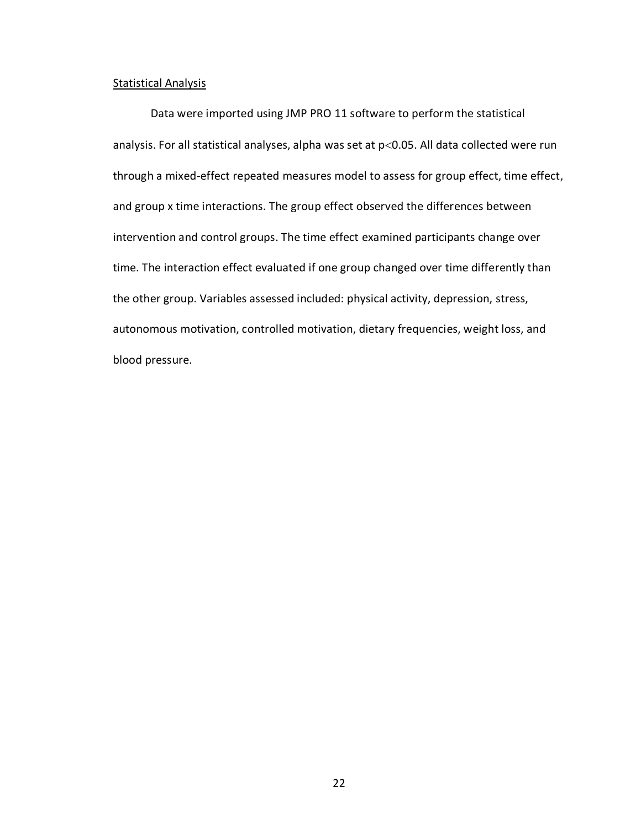## Statistical Analysis

Data were imported using JMP PRO 11 software to perform the statistical analysis. For all statistical analyses, alpha was set at p<0.05. All data collected were run through a mixed-effect repeated measures model to assess for group effect, time effect, and group x time interactions. The group effect observed the differences between intervention and control groups. The time effect examined participants change over time. The interaction effect evaluated if one group changed over time differently than the other group. Variables assessed included: physical activity, depression, stress, autonomous motivation, controlled motivation, dietary frequencies, weight loss, and blood pressure.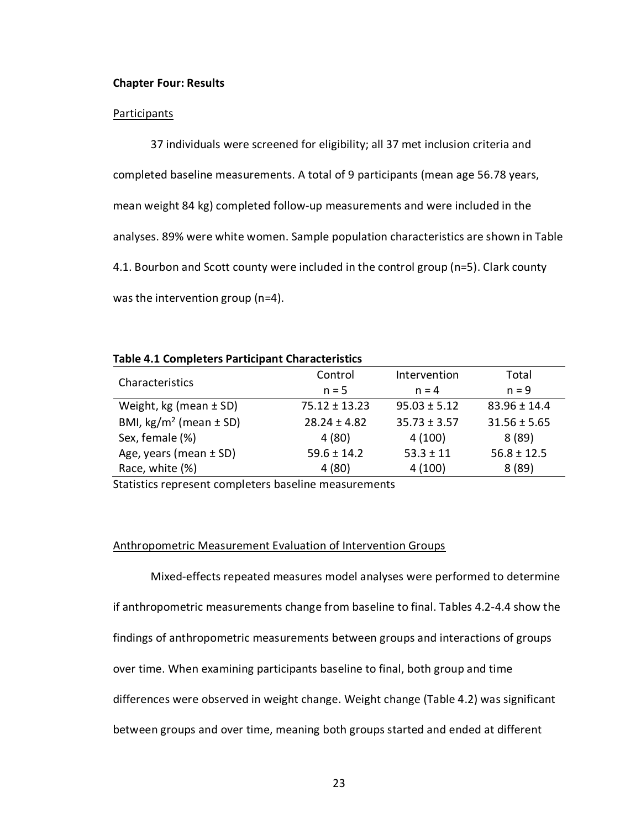#### **Chapter Four: Results**

#### **Participants**

37 individuals were screened for eligibility; all 37 met inclusion criteria and completed baseline measurements. A total of 9 participants (mean age 56.78 years, mean weight 84 kg) completed follow-up measurements and were included in the analyses. 89% were white women. Sample population characteristics are shown in Table 4.1. Bourbon and Scott county were included in the control group (n=5). Clark county was the intervention group (n=4).

## **Table 4.1 Completers Participant Characteristics**

| Characteristics                      | Control           | Intervention     | Total            |
|--------------------------------------|-------------------|------------------|------------------|
|                                      | $n = 5$           | $n = 4$          | $n = 9$          |
| Weight, kg (mean $\pm$ SD)           | $75.12 \pm 13.23$ | $95.03 \pm 5.12$ | $83.96 \pm 14.4$ |
| BMI, $\text{kg/m}^2$ (mean $\pm$ SD) | $28.24 \pm 4.82$  | $35.73 \pm 3.57$ | $31.56 \pm 5.65$ |
| Sex, female (%)                      | 4(80)             | 4(100)           | 8(89)            |
| Age, years (mean $\pm$ SD)           | $59.6 \pm 14.2$   | $53.3 \pm 11$    | $56.8 \pm 12.5$  |
| Race, white (%)                      | 4(80)             | 4(100)           | 8(89)            |

Statistics represent completers baseline measurements

## Anthropometric Measurement Evaluation of Intervention Groups

Mixed-effects repeated measures model analyses were performed to determine if anthropometric measurements change from baseline to final. Tables 4.2-4.4 show the findings of anthropometric measurements between groups and interactions of groups over time. When examining participants baseline to final, both group and time differences were observed in weight change. Weight change (Table 4.2) was significant between groups and over time, meaning both groups started and ended at different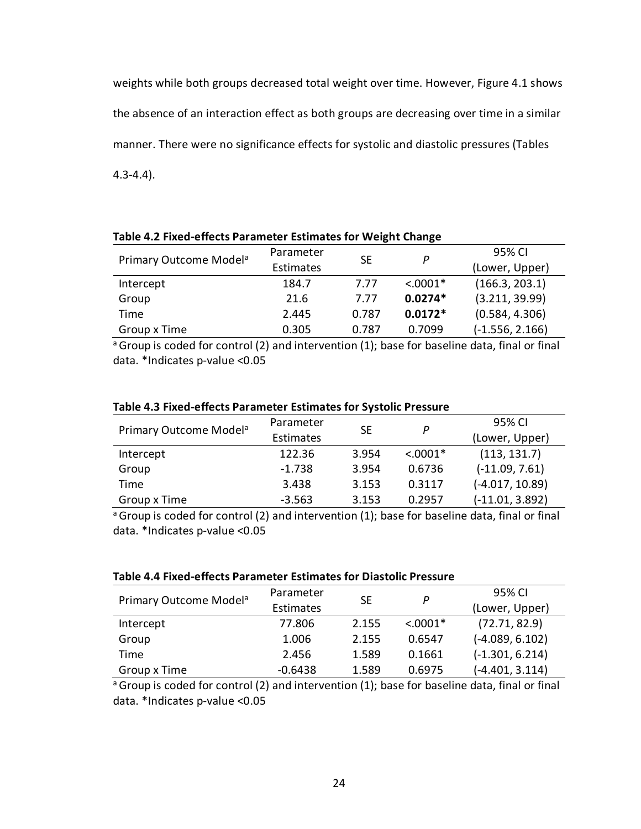weights while both groups decreased total weight over time. However, Figure 4.1 shows the absence of an interaction effect as both groups are decreasing over time in a similar manner. There were no significance effects for systolic and diastolic pressures (Tables 4.3-4.4).

| Primary Outcome Model <sup>a</sup> | Parameter | <b>SE</b> | P          | 95% CI            |
|------------------------------------|-----------|-----------|------------|-------------------|
|                                    | Estimates |           |            | (Lower, Upper)    |
| Intercept                          | 184.7     | 7.77      | $< .0001*$ | (166.3, 203.1)    |
| Group                              | 21.6      | 7.77      | $0.0274*$  | (3.211, 39.99)    |
| Time                               | 2.445     | 0.787     | $0.0172*$  | (0.584, 4.306)    |
| Group x Time                       | 0.305     | 0.787     | 0.7099     | $(-1.556, 2.166)$ |

**Table 4.2 Fixed-effects Parameter Estimates for Weight Change**

<sup>a</sup> Group is coded for control (2) and intervention (1); base for baseline data, final or final data. \*Indicates p-value <0.05

|                                    | Parameter |                |            | 95% CI            |
|------------------------------------|-----------|----------------|------------|-------------------|
| Primary Outcome Model <sup>a</sup> | Estimates | <b>SE</b><br>P |            | (Lower, Upper)    |
| Intercept                          | 122.36    | 3.954          | $< .0001*$ | (113, 131.7)      |
| Group                              | $-1.738$  | 3.954          | 0.6736     | $(-11.09, 7.61)$  |
| Time                               | 3.438     | 3.153          | 0.3117     | $(-4.017, 10.89)$ |
| Group x Time                       | $-3.563$  | 3.153          | 0.2957     | $(-11.01, 3.892)$ |

## **Table 4.3 Fixed-effects Parameter Estimates for Systolic Pressure**

<sup>a</sup> Group is coded for control (2) and intervention (1); base for baseline data, final or final data. \*Indicates p-value <0.05

| Table 4.4 Fixed-effects Parameter Estimates for Diastolic Pressure |  |
|--------------------------------------------------------------------|--|
|--------------------------------------------------------------------|--|

|                                    | Parameter |           |            | 95% CI            |
|------------------------------------|-----------|-----------|------------|-------------------|
| Primary Outcome Model <sup>a</sup> | Estimates | <b>SE</b> | P          | (Lower, Upper)    |
| Intercept                          | 77.806    | 2.155     | $< .0001*$ | (72.71, 82.9)     |
| Group                              | 1.006     | 2.155     | 0.6547     | $(-4.089, 6.102)$ |
| Time                               | 2.456     | 1.589     | 0.1661     | $(-1.301, 6.214)$ |
| Group x Time                       | $-0.6438$ | 1.589     | 0.6975     | $(-4.401, 3.114)$ |

<sup>a</sup> Group is coded for control (2) and intervention (1); base for baseline data, final or final data. \*Indicates p-value <0.05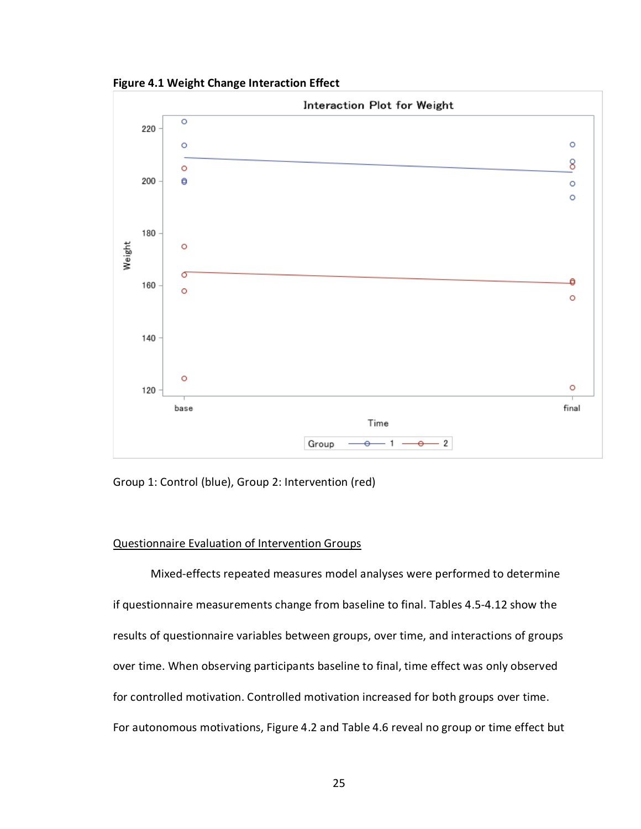**Figure 4.1 Weight Change Interaction Effect**



Group 1: Control (blue), Group 2: Intervention (red)

## Questionnaire Evaluation of Intervention Groups

Mixed-effects repeated measures model analyses were performed to determine if questionnaire measurements change from baseline to final. Tables 4.5-4.12 show the results of questionnaire variables between groups, over time, and interactions of groups over time. When observing participants baseline to final, time effect was only observed for controlled motivation. Controlled motivation increased for both groups over time. For autonomous motivations, Figure 4.2 and Table 4.6 reveal no group or time effect but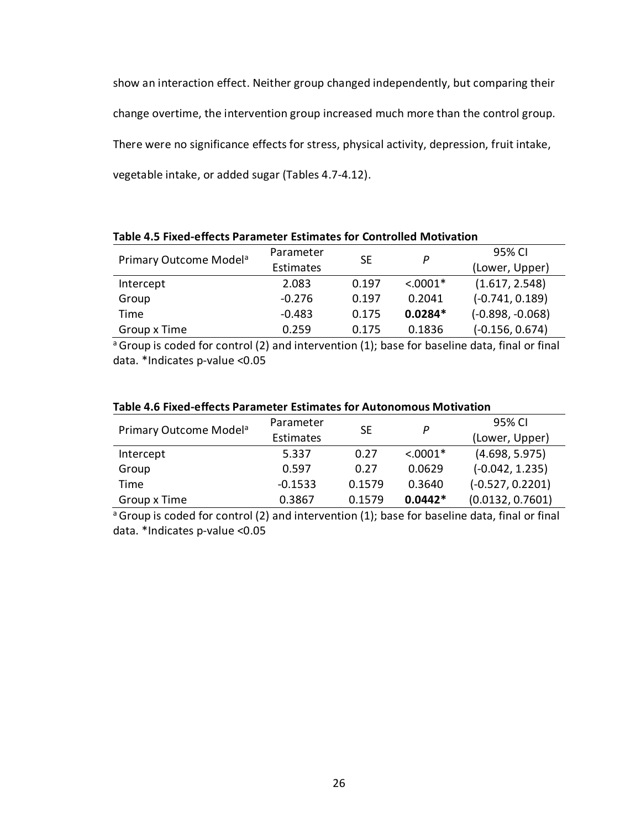show an interaction effect. Neither group changed independently, but comparing their change overtime, the intervention group increased much more than the control group. There were no significance effects for stress, physical activity, depression, fruit intake, vegetable intake, or added sugar (Tables 4.7-4.12).

| Primary Outcome Model <sup>a</sup> | Parameter        | SE    | Р          | 95% CI             |  |
|------------------------------------|------------------|-------|------------|--------------------|--|
|                                    | <b>Estimates</b> |       |            | (Lower, Upper)     |  |
| Intercept                          | 2.083            | 0.197 | $< .0001*$ | (1.617, 2.548)     |  |
| Group                              | $-0.276$         | 0.197 | 0.2041     | $(-0.741, 0.189)$  |  |
| Time                               | $-0.483$         | 0.175 | $0.0284*$  | $(-0.898, -0.068)$ |  |
| Group x Time                       | 0.259            | 0.175 | 0.1836     | $(-0.156, 0.674)$  |  |

**Table 4.5 Fixed-effects Parameter Estimates for Controlled Motivation**

<sup>a</sup> Group is coded for control (2) and intervention (1); base for baseline data, final or final data. \*Indicates p-value <0.05

| Primary Outcome Model <sup>a</sup> | Parameter<br>Estimates | <b>SE</b> | P          | 95% CI<br>(Lower, Upper) |
|------------------------------------|------------------------|-----------|------------|--------------------------|
| Intercept                          | 5.337                  | 0.27      | $< .0001*$ | (4.698, 5.975)           |
| Group                              | 0.597                  | 0.27      | 0.0629     | $(-0.042, 1.235)$        |
| <b>Time</b>                        | $-0.1533$              | 0.1579    | 0.3640     | $(-0.527, 0.2201)$       |
| Group x Time                       | 0.3867                 | 0.1579    | $0.0442*$  | (0.0132, 0.7601)         |

# **Table 4.6 Fixed-effects Parameter Estimates for Autonomous Motivation**

<sup>a</sup> Group is coded for control (2) and intervention (1); base for baseline data, final or final data. \*Indicates p-value <0.05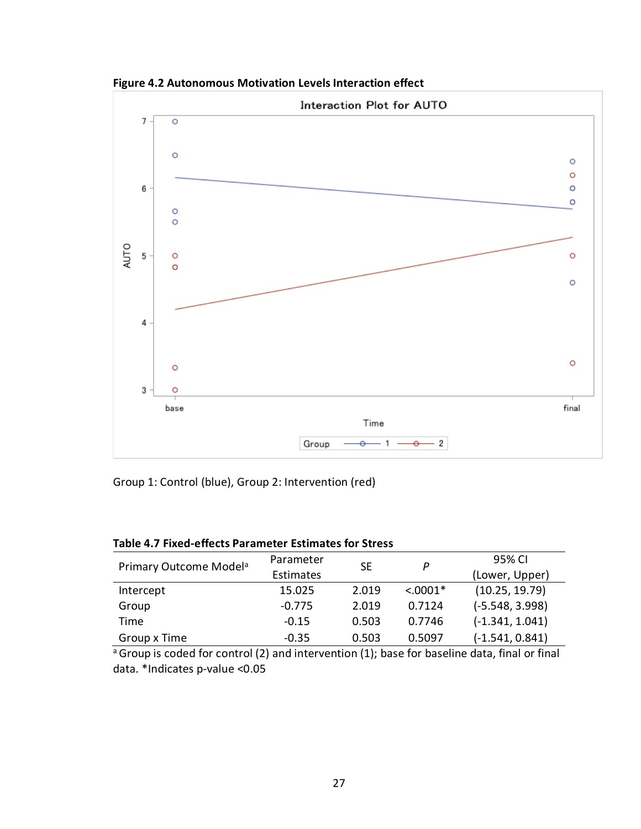

**Figure 4.2 Autonomous Motivation Levels Interaction effect**

Group 1: Control (blue), Group 2: Intervention (red)

| <b>Table 4.7 Fixed-effects Parameter Estimates for Stress</b> |  |  |
|---------------------------------------------------------------|--|--|
|---------------------------------------------------------------|--|--|

| Primary Outcome Model <sup>a</sup> | Parameter | SE    | P           | 95% CI            |
|------------------------------------|-----------|-------|-------------|-------------------|
|                                    | Estimates |       |             | (Lower, Upper)    |
| Intercept                          | 15.025    | 2.019 | $< 0.0001*$ | (10.25, 19.79)    |
| Group                              | $-0.775$  | 2.019 | 0.7124      | $(-5.548, 3.998)$ |
| Time                               | $-0.15$   | 0.503 | 0.7746      | $(-1.341, 1.041)$ |
| Group x Time                       | $-0.35$   | 0.503 | 0.5097      | $(-1.541, 0.841)$ |

 $a$  Group is coded for control (2) and intervention (1); base for baseline data, final or final data. \*Indicates p-value <0.05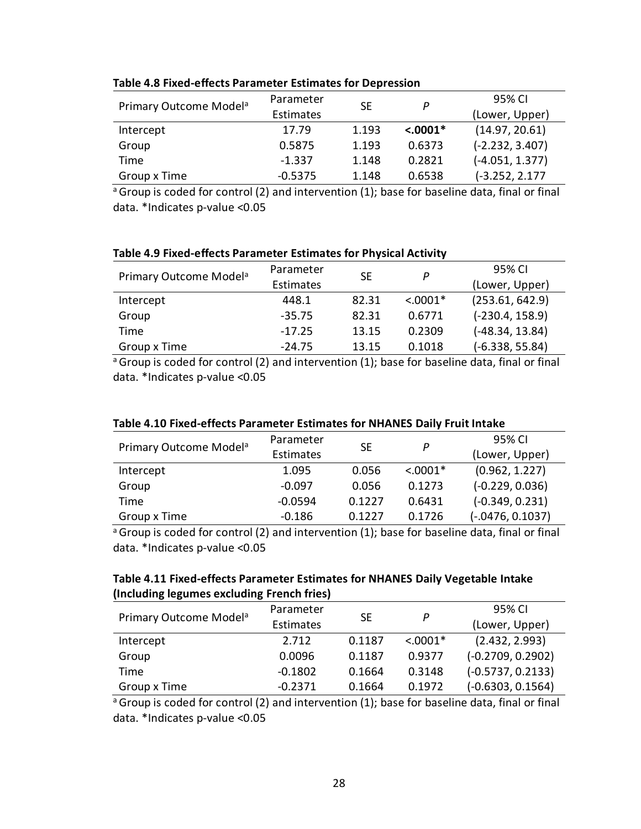| Primary Outcome Model <sup>a</sup> | Parameter |       | P          | 95% CI            |
|------------------------------------|-----------|-------|------------|-------------------|
|                                    | Estimates | SE    |            | (Lower, Upper)    |
| Intercept                          | 17.79     | 1.193 | $< .0001*$ | (14.97, 20.61)    |
| Group                              | 0.5875    | 1.193 | 0.6373     | $(-2.232, 3.407)$ |
| Time                               | $-1.337$  | 1.148 | 0.2821     | $(-4.051, 1.377)$ |
| Group x Time                       | $-0.5375$ | 1.148 | 0.6538     | $(-3.252, 2.177)$ |

# **Table 4.8 Fixed-effects Parameter Estimates for Depression**

<sup>a</sup> Group is coded for control (2) and intervention (1); base for baseline data, final or final data. \*Indicates p-value <0.05

# **Table 4.9 Fixed-effects Parameter Estimates for Physical Activity**

| Primary Outcome Model <sup>a</sup> | Parameter | <b>SE</b> | P          | 95% CI            |
|------------------------------------|-----------|-----------|------------|-------------------|
|                                    | Estimates |           |            | (Lower, Upper)    |
| Intercept                          | 448.1     | 82.31     | $< .0001*$ | (253.61, 642.9)   |
| Group                              | $-35.75$  | 82.31     | 0.6771     | $(-230.4, 158.9)$ |
| Time                               | $-17.25$  | 13.15     | 0.2309     | $(-48.34, 13.84)$ |
| Group x Time                       | $-24.75$  | 13.15     | 0.1018     | $(-6.338, 55.84)$ |

<sup>a</sup> Group is coded for control (2) and intervention (1); base for baseline data, final or final data. \*Indicates p-value <0.05

|  | Table 4.10 Fixed-effects Parameter Estimates for NHANES Daily Fruit Intake |
|--|----------------------------------------------------------------------------|
|--|----------------------------------------------------------------------------|

| Primary Outcome Model <sup>a</sup> | Parameter |           | P          | 95% CI             |
|------------------------------------|-----------|-----------|------------|--------------------|
|                                    | Estimates | <b>SE</b> |            | (Lower, Upper)     |
| Intercept                          | 1.095     | 0.056     | $< .0001*$ | (0.962, 1.227)     |
| Group                              | $-0.097$  | 0.056     | 0.1273     | $(-0.229, 0.036)$  |
| Time                               | $-0.0594$ | 0.1227    | 0.6431     | $(-0.349, 0.231)$  |
| Group x Time                       | $-0.186$  | 0.1227    | 0.1726     | $(-.0476, 0.1037)$ |

<sup>a</sup> Group is coded for control (2) and intervention (1); base for baseline data, final or final data. \*Indicates p-value <0.05

# **Table 4.11 Fixed-effects Parameter Estimates for NHANES Daily Vegetable Intake (Including legumes excluding French fries)**

| Primary Outcome Model <sup>a</sup> | Parameter        |           |            | 95% CI              |
|------------------------------------|------------------|-----------|------------|---------------------|
|                                    | <b>Estimates</b> | <b>SE</b> | Р          | (Lower, Upper)      |
| Intercept                          | 2.712            | 0.1187    | $< .0001*$ | (2.432, 2.993)      |
| Group                              | 0.0096           | 0.1187    | 0.9377     | $(-0.2709, 0.2902)$ |
| Time                               | $-0.1802$        | 0.1664    | 0.3148     | $(-0.5737, 0.2133)$ |
| Group x Time                       | $-0.2371$        | 0.1664    | 0.1972     | $(-0.6303, 0.1564)$ |

<sup>a</sup> Group is coded for control (2) and intervention (1); base for baseline data, final or final data. \*Indicates p-value <0.05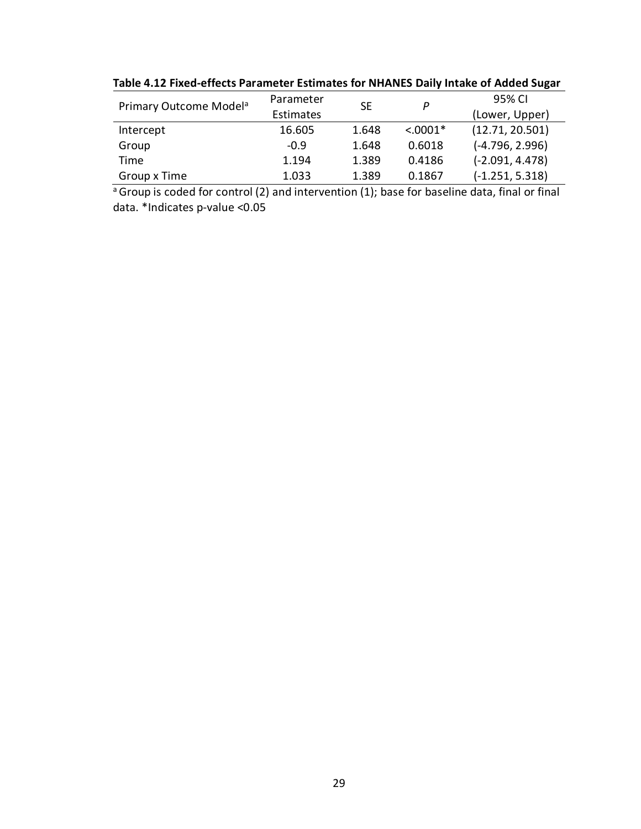| Primary Outcome Model <sup>a</sup> | Parameter<br><b>SE</b><br>P |       | 95% CI     |                   |
|------------------------------------|-----------------------------|-------|------------|-------------------|
|                                    | Estimates                   |       |            | (Lower, Upper)    |
| Intercept                          | 16.605                      | 1.648 | $< .0001*$ | (12.71, 20.501)   |
| Group                              | $-0.9$                      | 1.648 | 0.6018     | $(-4.796, 2.996)$ |
| Time                               | 1.194                       | 1.389 | 0.4186     | $(-2.091, 4.478)$ |
| Group x Time                       | 1.033                       | 1.389 | 0.1867     | $(-1.251, 5.318)$ |

**Table 4.12 Fixed-effects Parameter Estimates for NHANES Daily Intake of Added Sugar**

 $\overline{a}$  Group is coded for control (2) and intervention (1); base for baseline data, final or final data. \*Indicates p-value <0.05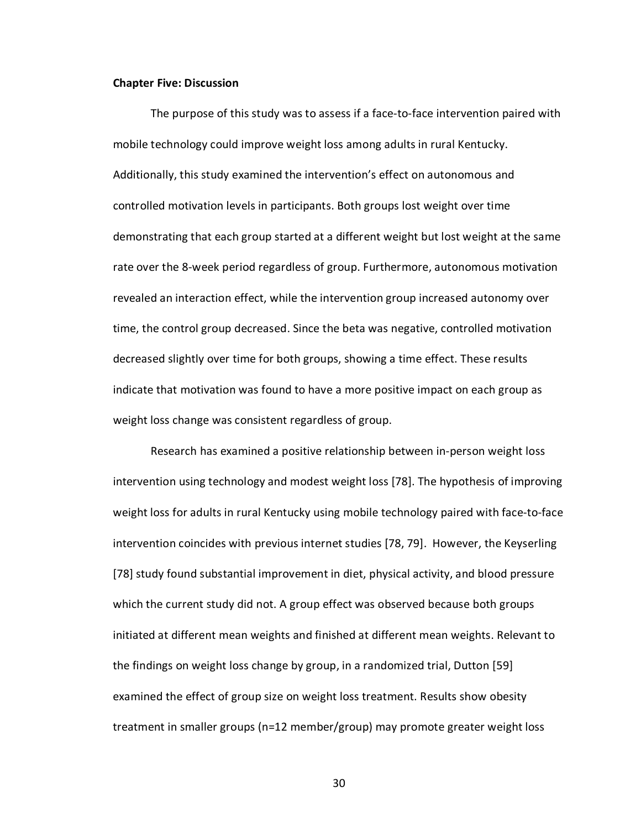#### **Chapter Five: Discussion**

The purpose of this study was to assess if a face-to-face intervention paired with mobile technology could improve weight loss among adults in rural Kentucky. Additionally, this study examined the intervention's effect on autonomous and controlled motivation levels in participants. Both groups lost weight over time demonstrating that each group started at a different weight but lost weight at the same rate over the 8-week period regardless of group. Furthermore, autonomous motivation revealed an interaction effect, while the intervention group increased autonomy over time, the control group decreased. Since the beta was negative, controlled motivation decreased slightly over time for both groups, showing a time effect. These results indicate that motivation was found to have a more positive impact on each group as weight loss change was consistent regardless of group.

Research has examined a positive relationship between in-person weight loss intervention using technology and modest weight loss [78]. The hypothesis of improving weight loss for adults in rural Kentucky using mobile technology paired with face-to-face intervention coincides with previous internet studies [78, 79]. However, the Keyserling [78] study found substantial improvement in diet, physical activity, and blood pressure which the current study did not. A group effect was observed because both groups initiated at different mean weights and finished at different mean weights. Relevant to the findings on weight loss change by group, in a randomized trial, Dutton [59] examined the effect of group size on weight loss treatment. Results show obesity treatment in smaller groups (n=12 member/group) may promote greater weight loss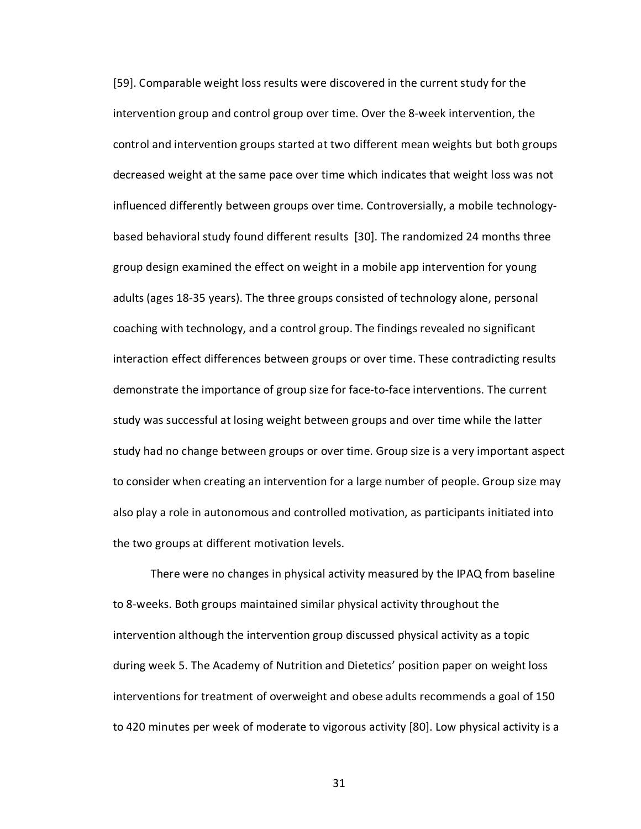[59]. Comparable weight loss results were discovered in the current study for the intervention group and control group over time. Over the 8-week intervention, the control and intervention groups started at two different mean weights but both groups decreased weight at the same pace over time which indicates that weight loss was not influenced differently between groups over time. Controversially, a mobile technologybased behavioral study found different results [30]. The randomized 24 months three group design examined the effect on weight in a mobile app intervention for young adults (ages 18-35 years). The three groups consisted of technology alone, personal coaching with technology, and a control group. The findings revealed no significant interaction effect differences between groups or over time. These contradicting results demonstrate the importance of group size for face-to-face interventions. The current study was successful at losing weight between groups and over time while the latter study had no change between groups or over time. Group size is a very important aspect to consider when creating an intervention for a large number of people. Group size may also play a role in autonomous and controlled motivation, as participants initiated into the two groups at different motivation levels.

There were no changes in physical activity measured by the IPAQ from baseline to 8-weeks. Both groups maintained similar physical activity throughout the intervention although the intervention group discussed physical activity as a topic during week 5. The Academy of Nutrition and Dietetics' position paper on weight loss interventions for treatment of overweight and obese adults recommends a goal of 150 to 420 minutes per week of moderate to vigorous activity [80]. Low physical activity is a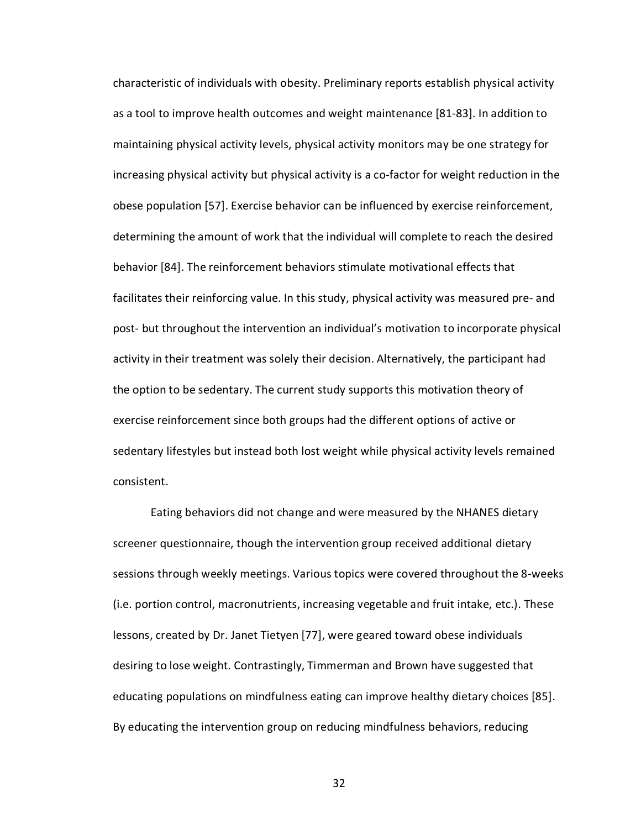characteristic of individuals with obesity. Preliminary reports establish physical activity as a tool to improve health outcomes and weight maintenance [81-83]. In addition to maintaining physical activity levels, physical activity monitors may be one strategy for increasing physical activity but physical activity is a co-factor for weight reduction in the obese population [57]. Exercise behavior can be influenced by exercise reinforcement, determining the amount of work that the individual will complete to reach the desired behavior [84]. The reinforcement behaviors stimulate motivational effects that facilitates their reinforcing value. In this study, physical activity was measured pre- and post- but throughout the intervention an individual's motivation to incorporate physical activity in their treatment was solely their decision. Alternatively, the participant had the option to be sedentary. The current study supports this motivation theory of exercise reinforcement since both groups had the different options of active or sedentary lifestyles but instead both lost weight while physical activity levels remained consistent.

Eating behaviors did not change and were measured by the NHANES dietary screener questionnaire, though the intervention group received additional dietary sessions through weekly meetings. Various topics were covered throughout the 8-weeks (i.e. portion control, macronutrients, increasing vegetable and fruit intake, etc.). These lessons, created by Dr. Janet Tietyen [77], were geared toward obese individuals desiring to lose weight. Contrastingly, Timmerman and Brown have suggested that educating populations on mindfulness eating can improve healthy dietary choices [85]. By educating the intervention group on reducing mindfulness behaviors, reducing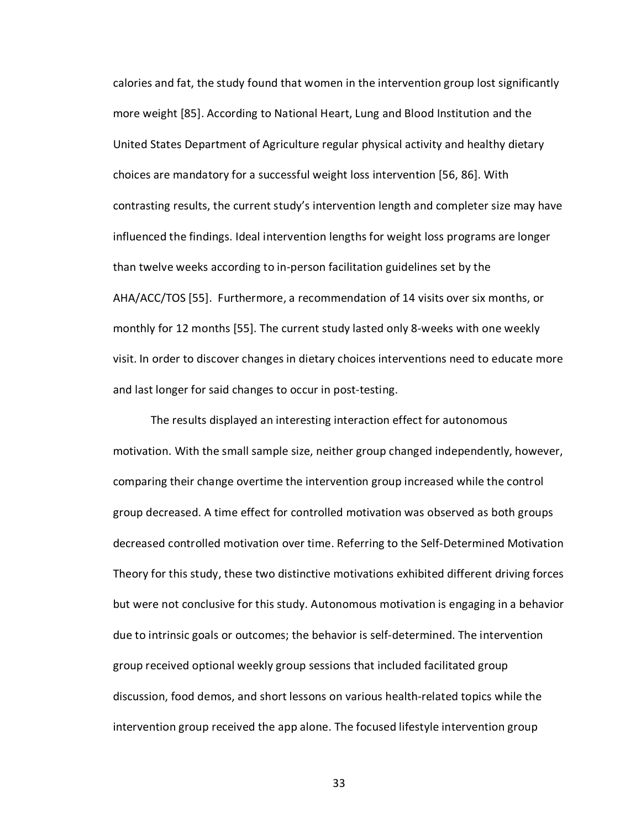calories and fat, the study found that women in the intervention group lost significantly more weight [85]. According to National Heart, Lung and Blood Institution and the United States Department of Agriculture regular physical activity and healthy dietary choices are mandatory for a successful weight loss intervention [56, 86]. With contrasting results, the current study's intervention length and completer size may have influenced the findings. Ideal intervention lengths for weight loss programs are longer than twelve weeks according to in-person facilitation guidelines set by the AHA/ACC/TOS [55]. Furthermore, a recommendation of 14 visits over six months, or monthly for 12 months [55]. The current study lasted only 8-weeks with one weekly visit. In order to discover changes in dietary choices interventions need to educate more and last longer for said changes to occur in post-testing.

The results displayed an interesting interaction effect for autonomous motivation. With the small sample size, neither group changed independently, however, comparing their change overtime the intervention group increased while the control group decreased. A time effect for controlled motivation was observed as both groups decreased controlled motivation over time. Referring to the Self-Determined Motivation Theory for this study, these two distinctive motivations exhibited different driving forces but were not conclusive for this study. Autonomous motivation is engaging in a behavior due to intrinsic goals or outcomes; the behavior is self-determined. The intervention group received optional weekly group sessions that included facilitated group discussion, food demos, and short lessons on various health-related topics while the intervention group received the app alone. The focused lifestyle intervention group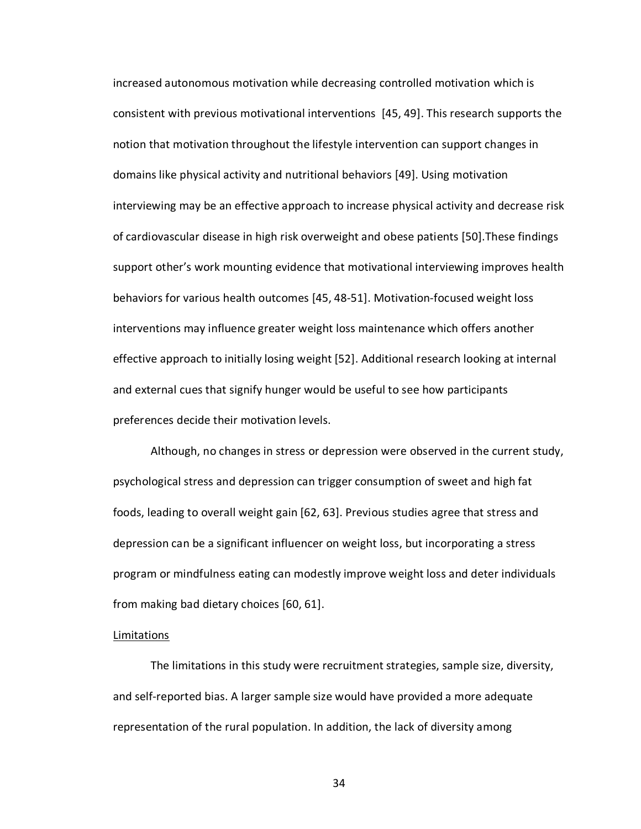increased autonomous motivation while decreasing controlled motivation which is consistent with previous motivational interventions [45, 49]. This research supports the notion that motivation throughout the lifestyle intervention can support changes in domains like physical activity and nutritional behaviors [49]. Using motivation interviewing may be an effective approach to increase physical activity and decrease risk of cardiovascular disease in high risk overweight and obese patients [50].These findings support other's work mounting evidence that motivational interviewing improves health behaviors for various health outcomes [45, 48-51]. Motivation-focused weight loss interventions may influence greater weight loss maintenance which offers another effective approach to initially losing weight [52]. Additional research looking at internal and external cues that signify hunger would be useful to see how participants preferences decide their motivation levels.

Although, no changes in stress or depression were observed in the current study, psychological stress and depression can trigger consumption of sweet and high fat foods, leading to overall weight gain [62, 63]. Previous studies agree that stress and depression can be a significant influencer on weight loss, but incorporating a stress program or mindfulness eating can modestly improve weight loss and deter individuals from making bad dietary choices [60, 61].

#### Limitations

The limitations in this study were recruitment strategies, sample size, diversity, and self-reported bias. A larger sample size would have provided a more adequate representation of the rural population. In addition, the lack of diversity among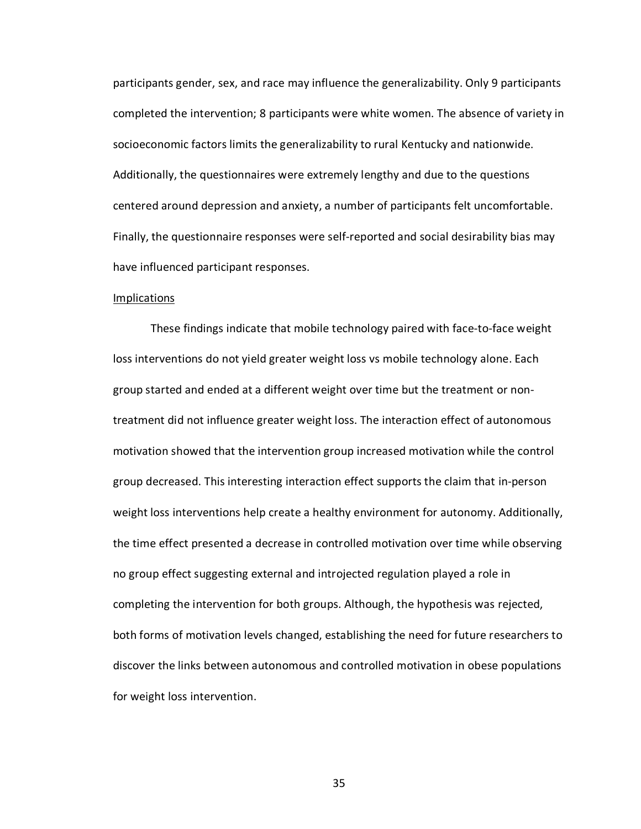participants gender, sex, and race may influence the generalizability. Only 9 participants completed the intervention; 8 participants were white women. The absence of variety in socioeconomic factors limits the generalizability to rural Kentucky and nationwide. Additionally, the questionnaires were extremely lengthy and due to the questions centered around depression and anxiety, a number of participants felt uncomfortable. Finally, the questionnaire responses were self-reported and social desirability bias may have influenced participant responses.

#### Implications

These findings indicate that mobile technology paired with face-to-face weight loss interventions do not yield greater weight loss vs mobile technology alone. Each group started and ended at a different weight over time but the treatment or nontreatment did not influence greater weight loss. The interaction effect of autonomous motivation showed that the intervention group increased motivation while the control group decreased. This interesting interaction effect supports the claim that in-person weight loss interventions help create a healthy environment for autonomy. Additionally, the time effect presented a decrease in controlled motivation over time while observing no group effect suggesting external and introjected regulation played a role in completing the intervention for both groups. Although, the hypothesis was rejected, both forms of motivation levels changed, establishing the need for future researchers to discover the links between autonomous and controlled motivation in obese populations for weight loss intervention.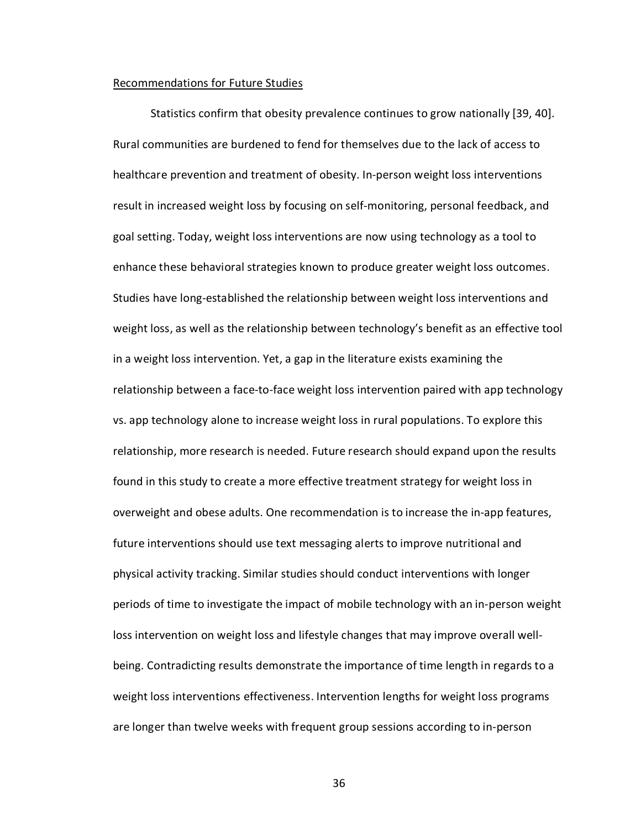#### Recommendations for Future Studies

Statistics confirm that obesity prevalence continues to grow nationally [39, 40]. Rural communities are burdened to fend for themselves due to the lack of access to healthcare prevention and treatment of obesity. In-person weight loss interventions result in increased weight loss by focusing on self-monitoring, personal feedback, and goal setting. Today, weight loss interventions are now using technology as a tool to enhance these behavioral strategies known to produce greater weight loss outcomes. Studies have long-established the relationship between weight loss interventions and weight loss, as well as the relationship between technology's benefit as an effective tool in a weight loss intervention. Yet, a gap in the literature exists examining the relationship between a face-to-face weight loss intervention paired with app technology vs. app technology alone to increase weight loss in rural populations. To explore this relationship, more research is needed. Future research should expand upon the results found in this study to create a more effective treatment strategy for weight loss in overweight and obese adults. One recommendation is to increase the in-app features, future interventions should use text messaging alerts to improve nutritional and physical activity tracking. Similar studies should conduct interventions with longer periods of time to investigate the impact of mobile technology with an in-person weight loss intervention on weight loss and lifestyle changes that may improve overall wellbeing. Contradicting results demonstrate the importance of time length in regards to a weight loss interventions effectiveness. Intervention lengths for weight loss programs are longer than twelve weeks with frequent group sessions according to in-person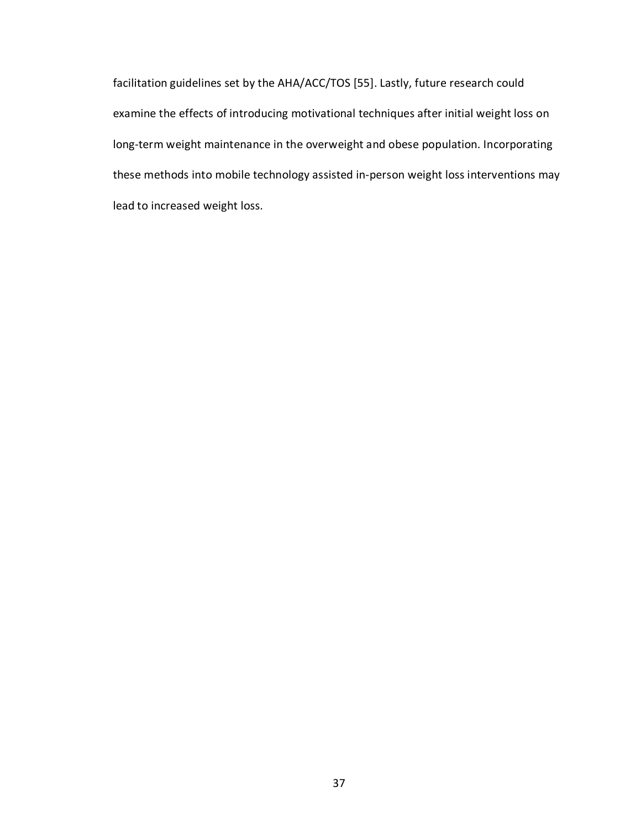facilitation guidelines set by the AHA/ACC/TOS [55]. Lastly, future research could examine the effects of introducing motivational techniques after initial weight loss on long-term weight maintenance in the overweight and obese population. Incorporating these methods into mobile technology assisted in-person weight loss interventions may lead to increased weight loss.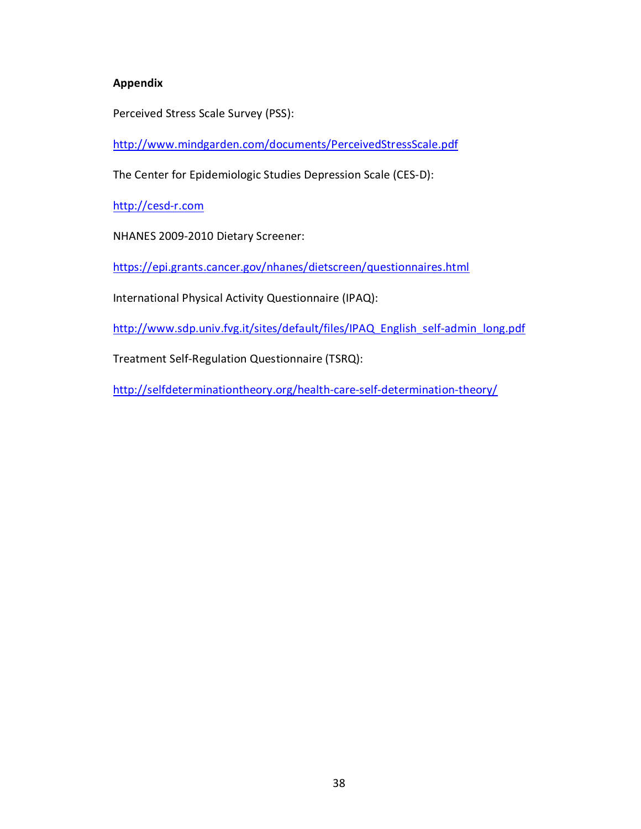# **Appendix**

Perceived Stress Scale Survey (PSS):

<http://www.mindgarden.com/documents/PerceivedStressScale.pdf>

The Center for Epidemiologic Studies Depression Scale (CES-D):

[http://cesd-r.com](http://cesd-r.com/)

NHANES 2009-2010 Dietary Screener:

<https://epi.grants.cancer.gov/nhanes/dietscreen/questionnaires.html>

International Physical Activity Questionnaire (IPAQ):

[http://www.sdp.univ.fvg.it/sites/default/files/IPAQ\\_English\\_self-admin\\_long.pdf](http://www.sdp.univ.fvg.it/sites/default/files/IPAQ_English_self-admin_long.pdf)

Treatment Self-Regulation Questionnaire (TSRQ):

<http://selfdeterminationtheory.org/health-care-self-determination-theory/>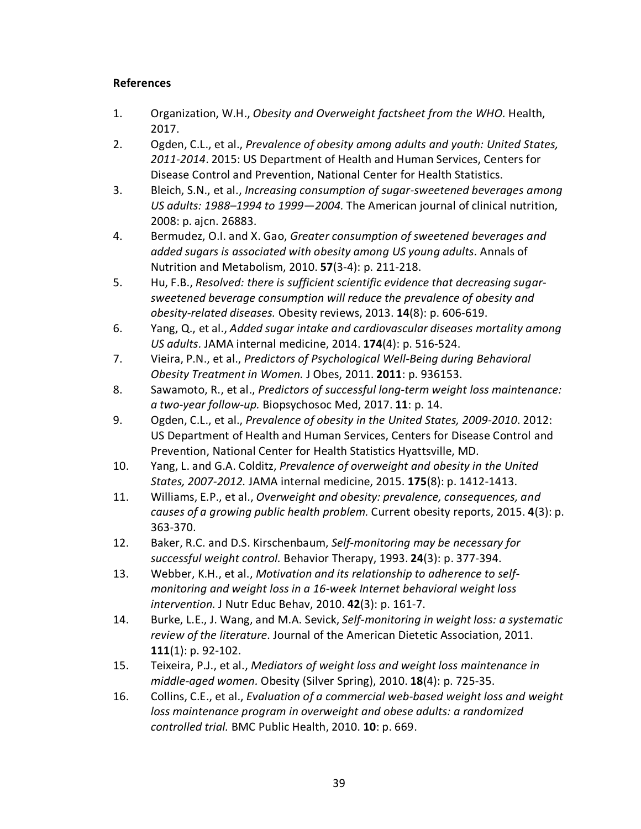# **References**

- 1. Organization, W.H., *Obesity and Overweight factsheet from the WHO.* Health, 2017.
- 2. Ogden, C.L., et al., *Prevalence of obesity among adults and youth: United States, 2011-2014*. 2015: US Department of Health and Human Services, Centers for Disease Control and Prevention, National Center for Health Statistics.
- 3. Bleich, S.N., et al., *Increasing consumption of sugar-sweetened beverages among US adults: 1988–1994 to 1999—2004.* The American journal of clinical nutrition, 2008: p. ajcn. 26883.
- 4. Bermudez, O.I. and X. Gao, *Greater consumption of sweetened beverages and added sugars is associated with obesity among US young adults.* Annals of Nutrition and Metabolism, 2010. **57**(3-4): p. 211-218.
- 5. Hu, F.B., *Resolved: there is sufficient scientific evidence that decreasing sugarsweetened beverage consumption will reduce the prevalence of obesity and obesity-related diseases.* Obesity reviews, 2013. **14**(8): p. 606-619.
- 6. Yang, Q., et al., *Added sugar intake and cardiovascular diseases mortality among US adults.* JAMA internal medicine, 2014. **174**(4): p. 516-524.
- 7. Vieira, P.N., et al., *Predictors of Psychological Well-Being during Behavioral Obesity Treatment in Women.* J Obes, 2011. **2011**: p. 936153.
- 8. Sawamoto, R., et al., *Predictors of successful long-term weight loss maintenance: a two-year follow-up.* Biopsychosoc Med, 2017. **11**: p. 14.
- 9. Ogden, C.L., et al., *Prevalence of obesity in the United States, 2009-2010*. 2012: US Department of Health and Human Services, Centers for Disease Control and Prevention, National Center for Health Statistics Hyattsville, MD.
- 10. Yang, L. and G.A. Colditz, *Prevalence of overweight and obesity in the United States, 2007-2012.* JAMA internal medicine, 2015. **175**(8): p. 1412-1413.
- 11. Williams, E.P., et al., *Overweight and obesity: prevalence, consequences, and causes of a growing public health problem.* Current obesity reports, 2015. **4**(3): p. 363-370.
- 12. Baker, R.C. and D.S. Kirschenbaum, *Self-monitoring may be necessary for successful weight control.* Behavior Therapy, 1993. **24**(3): p. 377-394.
- 13. Webber, K.H., et al., *Motivation and its relationship to adherence to selfmonitoring and weight loss in a 16-week Internet behavioral weight loss intervention.* J Nutr Educ Behav, 2010. **42**(3): p. 161-7.
- 14. Burke, L.E., J. Wang, and M.A. Sevick, *Self-monitoring in weight loss: a systematic review of the literature.* Journal of the American Dietetic Association, 2011. **111**(1): p. 92-102.
- 15. Teixeira, P.J., et al., *Mediators of weight loss and weight loss maintenance in middle-aged women.* Obesity (Silver Spring), 2010. **18**(4): p. 725-35.
- 16. Collins, C.E., et al., *Evaluation of a commercial web-based weight loss and weight loss maintenance program in overweight and obese adults: a randomized controlled trial.* BMC Public Health, 2010. **10**: p. 669.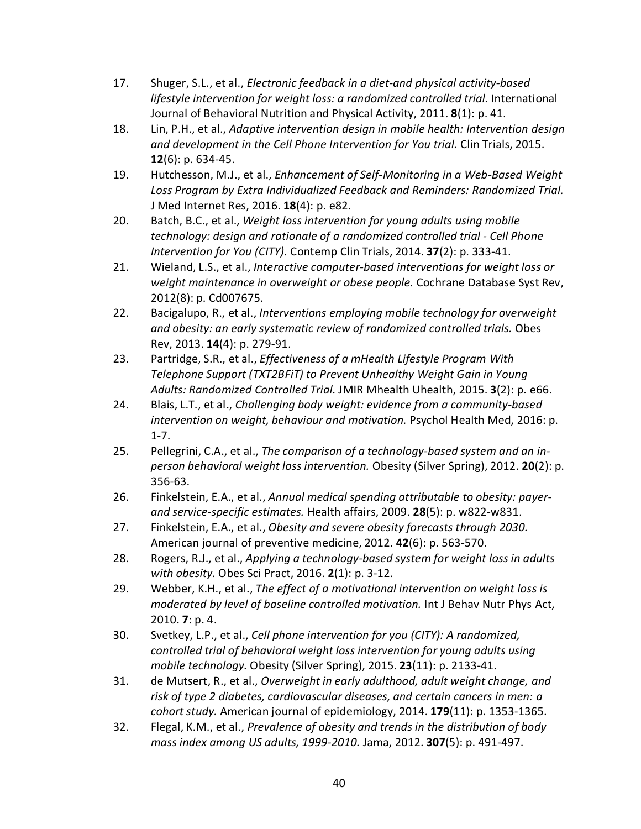- 17. Shuger, S.L., et al., *Electronic feedback in a diet-and physical activity-based lifestyle intervention for weight loss: a randomized controlled trial.* International Journal of Behavioral Nutrition and Physical Activity, 2011. **8**(1): p. 41.
- 18. Lin, P.H., et al., *Adaptive intervention design in mobile health: Intervention design and development in the Cell Phone Intervention for You trial.* Clin Trials, 2015. **12**(6): p. 634-45.
- 19. Hutchesson, M.J., et al., *Enhancement of Self-Monitoring in a Web-Based Weight Loss Program by Extra Individualized Feedback and Reminders: Randomized Trial.* J Med Internet Res, 2016. **18**(4): p. e82.
- 20. Batch, B.C., et al., *Weight loss intervention for young adults using mobile technology: design and rationale of a randomized controlled trial - Cell Phone Intervention for You (CITY).* Contemp Clin Trials, 2014. **37**(2): p. 333-41.
- 21. Wieland, L.S., et al., *Interactive computer-based interventions for weight loss or weight maintenance in overweight or obese people.* Cochrane Database Syst Rev, 2012(8): p. Cd007675.
- 22. Bacigalupo, R., et al., *Interventions employing mobile technology for overweight and obesity: an early systematic review of randomized controlled trials.* Obes Rev, 2013. **14**(4): p. 279-91.
- 23. Partridge, S.R., et al., *Effectiveness of a mHealth Lifestyle Program With Telephone Support (TXT2BFiT) to Prevent Unhealthy Weight Gain in Young Adults: Randomized Controlled Trial.* JMIR Mhealth Uhealth, 2015. **3**(2): p. e66.
- 24. Blais, L.T., et al., *Challenging body weight: evidence from a community-based intervention on weight, behaviour and motivation.* Psychol Health Med, 2016: p. 1-7.
- 25. Pellegrini, C.A., et al., *The comparison of a technology-based system and an inperson behavioral weight loss intervention.* Obesity (Silver Spring), 2012. **20**(2): p. 356-63.
- 26. Finkelstein, E.A., et al., *Annual medical spending attributable to obesity: payerand service-specific estimates.* Health affairs, 2009. **28**(5): p. w822-w831.
- 27. Finkelstein, E.A., et al., *Obesity and severe obesity forecasts through 2030.* American journal of preventive medicine, 2012. **42**(6): p. 563-570.
- 28. Rogers, R.J., et al., *Applying a technology-based system for weight loss in adults with obesity.* Obes Sci Pract, 2016. **2**(1): p. 3-12.
- 29. Webber, K.H., et al., *The effect of a motivational intervention on weight loss is moderated by level of baseline controlled motivation.* Int J Behav Nutr Phys Act, 2010. **7**: p. 4.
- 30. Svetkey, L.P., et al., *Cell phone intervention for you (CITY): A randomized, controlled trial of behavioral weight loss intervention for young adults using mobile technology.* Obesity (Silver Spring), 2015. **23**(11): p. 2133-41.
- 31. de Mutsert, R., et al., *Overweight in early adulthood, adult weight change, and risk of type 2 diabetes, cardiovascular diseases, and certain cancers in men: a cohort study.* American journal of epidemiology, 2014. **179**(11): p. 1353-1365.
- 32. Flegal, K.M., et al., *Prevalence of obesity and trends in the distribution of body mass index among US adults, 1999-2010.* Jama, 2012. **307**(5): p. 491-497.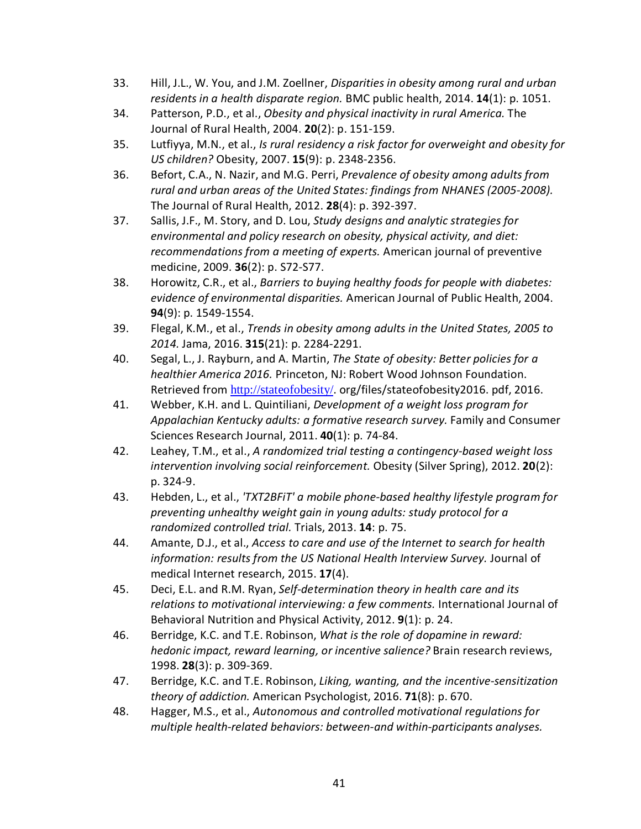- 33. Hill, J.L., W. You, and J.M. Zoellner, *Disparities in obesity among rural and urban residents in a health disparate region.* BMC public health, 2014. **14**(1): p. 1051.
- 34. Patterson, P.D., et al., *Obesity and physical inactivity in rural America.* The Journal of Rural Health, 2004. **20**(2): p. 151-159.
- 35. Lutfiyya, M.N., et al., *Is rural residency a risk factor for overweight and obesity for US children?* Obesity, 2007. **15**(9): p. 2348-2356.
- 36. Befort, C.A., N. Nazir, and M.G. Perri, *Prevalence of obesity among adults from rural and urban areas of the United States: findings from NHANES (2005-2008).* The Journal of Rural Health, 2012. **28**(4): p. 392-397.
- 37. Sallis, J.F., M. Story, and D. Lou, *Study designs and analytic strategies for environmental and policy research on obesity, physical activity, and diet: recommendations from a meeting of experts.* American journal of preventive medicine, 2009. **36**(2): p. S72-S77.
- 38. Horowitz, C.R., et al., *Barriers to buying healthy foods for people with diabetes: evidence of environmental disparities.* American Journal of Public Health, 2004. **94**(9): p. 1549-1554.
- 39. Flegal, K.M., et al., *Trends in obesity among adults in the United States, 2005 to 2014.* Jama, 2016. **315**(21): p. 2284-2291.
- 40. Segal, L., J. Rayburn, and A. Martin, *The State of obesity: Better policies for a healthier America 2016.* Princeton, NJ: Robert Wood Johnson Foundation. Retrieved from <http://stateofobesity/>. org/files/stateofobesity2016. pdf, 2016.
- 41. Webber, K.H. and L. Quintiliani, *Development of a weight loss program for Appalachian Kentucky adults: a formative research survey.* Family and Consumer Sciences Research Journal, 2011. **40**(1): p. 74-84.
- 42. Leahey, T.M., et al., *A randomized trial testing a contingency-based weight loss intervention involving social reinforcement.* Obesity (Silver Spring), 2012. **20**(2): p. 324-9.
- 43. Hebden, L., et al., *'TXT2BFiT' a mobile phone-based healthy lifestyle program for preventing unhealthy weight gain in young adults: study protocol for a randomized controlled trial.* Trials, 2013. **14**: p. 75.
- 44. Amante, D.J., et al., *Access to care and use of the Internet to search for health information: results from the US National Health Interview Survey.* Journal of medical Internet research, 2015. **17**(4).
- 45. Deci, E.L. and R.M. Ryan, *Self-determination theory in health care and its relations to motivational interviewing: a few comments.* International Journal of Behavioral Nutrition and Physical Activity, 2012. **9**(1): p. 24.
- 46. Berridge, K.C. and T.E. Robinson, *What is the role of dopamine in reward: hedonic impact, reward learning, or incentive salience?* Brain research reviews, 1998. **28**(3): p. 309-369.
- 47. Berridge, K.C. and T.E. Robinson, *Liking, wanting, and the incentive-sensitization theory of addiction.* American Psychologist, 2016. **71**(8): p. 670.
- 48. Hagger, M.S., et al., *Autonomous and controlled motivational regulations for multiple health-related behaviors: between-and within-participants analyses.*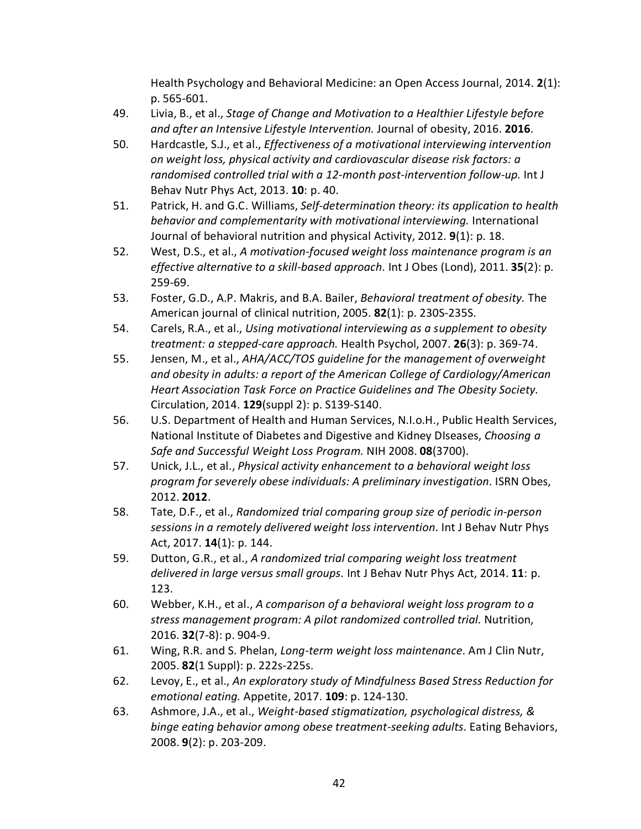Health Psychology and Behavioral Medicine: an Open Access Journal, 2014. **2**(1): p. 565-601.

- 49. Livia, B., et al., *Stage of Change and Motivation to a Healthier Lifestyle before and after an Intensive Lifestyle Intervention.* Journal of obesity, 2016. **2016**.
- 50. Hardcastle, S.J., et al., *Effectiveness of a motivational interviewing intervention on weight loss, physical activity and cardiovascular disease risk factors: a randomised controlled trial with a 12-month post-intervention follow-up.* Int J Behav Nutr Phys Act, 2013. **10**: p. 40.
- 51. Patrick, H. and G.C. Williams, *Self-determination theory: its application to health behavior and complementarity with motivational interviewing.* International Journal of behavioral nutrition and physical Activity, 2012. **9**(1): p. 18.
- 52. West, D.S., et al., *A motivation-focused weight loss maintenance program is an effective alternative to a skill-based approach.* Int J Obes (Lond), 2011. **35**(2): p. 259-69.
- 53. Foster, G.D., A.P. Makris, and B.A. Bailer, *Behavioral treatment of obesity.* The American journal of clinical nutrition, 2005. **82**(1): p. 230S-235S.
- 54. Carels, R.A., et al., *Using motivational interviewing as a supplement to obesity treatment: a stepped-care approach.* Health Psychol, 2007. **26**(3): p. 369-74.
- 55. Jensen, M., et al., *AHA/ACC/TOS guideline for the management of overweight and obesity in adults: a report of the American College of Cardiology/American Heart Association Task Force on Practice Guidelines and The Obesity Society.* Circulation, 2014. **129**(suppl 2): p. S139-S140.
- 56. U.S. Department of Health and Human Services, N.I.o.H., Public Health Services, National Institute of Diabetes and Digestive and Kidney DIseases, *Choosing a Safe and Successful Weight Loss Program.* NIH 2008. **08**(3700).
- 57. Unick, J.L., et al., *Physical activity enhancement to a behavioral weight loss program for severely obese individuals: A preliminary investigation.* ISRN Obes, 2012. **2012**.
- 58. Tate, D.F., et al., *Randomized trial comparing group size of periodic in-person sessions in a remotely delivered weight loss intervention.* Int J Behav Nutr Phys Act, 2017. **14**(1): p. 144.
- 59. Dutton, G.R., et al., *A randomized trial comparing weight loss treatment delivered in large versus small groups.* Int J Behav Nutr Phys Act, 2014. **11**: p. 123.
- 60. Webber, K.H., et al., *A comparison of a behavioral weight loss program to a stress management program: A pilot randomized controlled trial.* Nutrition, 2016. **32**(7-8): p. 904-9.
- 61. Wing, R.R. and S. Phelan, *Long-term weight loss maintenance.* Am J Clin Nutr, 2005. **82**(1 Suppl): p. 222s-225s.
- 62. Levoy, E., et al., *An exploratory study of Mindfulness Based Stress Reduction for emotional eating.* Appetite, 2017. **109**: p. 124-130.
- 63. Ashmore, J.A., et al., *Weight-based stigmatization, psychological distress, & binge eating behavior among obese treatment-seeking adults.* Eating Behaviors, 2008. **9**(2): p. 203-209.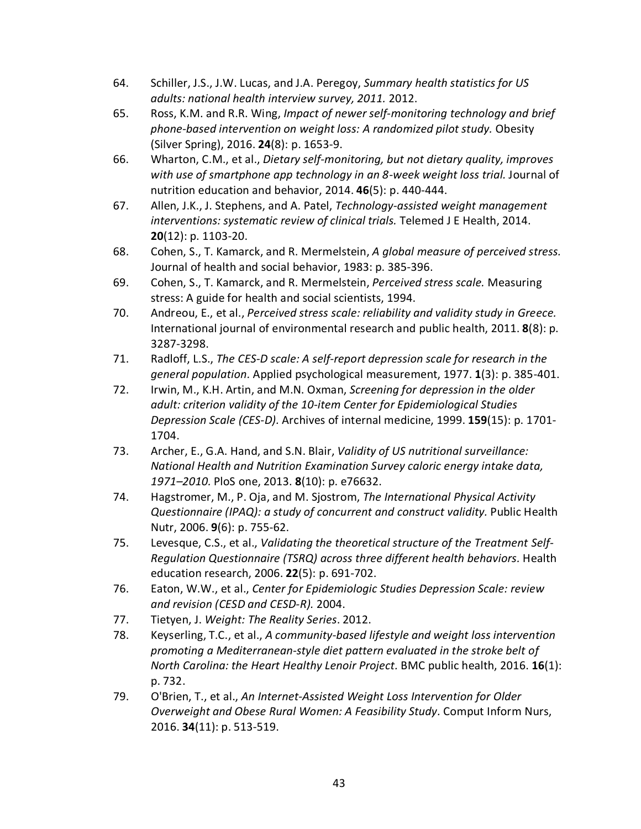- 64. Schiller, J.S., J.W. Lucas, and J.A. Peregoy, *Summary health statistics for US adults: national health interview survey, 2011.* 2012.
- 65. Ross, K.M. and R.R. Wing, *Impact of newer self-monitoring technology and brief phone-based intervention on weight loss: A randomized pilot study.* Obesity (Silver Spring), 2016. **24**(8): p. 1653-9.
- 66. Wharton, C.M., et al., *Dietary self-monitoring, but not dietary quality, improves with use of smartphone app technology in an 8-week weight loss trial.* Journal of nutrition education and behavior, 2014. **46**(5): p. 440-444.
- 67. Allen, J.K., J. Stephens, and A. Patel, *Technology-assisted weight management interventions: systematic review of clinical trials.* Telemed J E Health, 2014. **20**(12): p. 1103-20.
- 68. Cohen, S., T. Kamarck, and R. Mermelstein, *A global measure of perceived stress.* Journal of health and social behavior, 1983: p. 385-396.
- 69. Cohen, S., T. Kamarck, and R. Mermelstein, *Perceived stress scale.* Measuring stress: A guide for health and social scientists, 1994.
- 70. Andreou, E., et al., *Perceived stress scale: reliability and validity study in Greece.* International journal of environmental research and public health, 2011. **8**(8): p. 3287-3298.
- 71. Radloff, L.S., *The CES-D scale: A self-report depression scale for research in the general population.* Applied psychological measurement, 1977. **1**(3): p. 385-401.
- 72. Irwin, M., K.H. Artin, and M.N. Oxman, *Screening for depression in the older adult: criterion validity of the 10-item Center for Epidemiological Studies Depression Scale (CES-D).* Archives of internal medicine, 1999. **159**(15): p. 1701- 1704.
- 73. Archer, E., G.A. Hand, and S.N. Blair, *Validity of US nutritional surveillance: National Health and Nutrition Examination Survey caloric energy intake data, 1971–2010.* PloS one, 2013. **8**(10): p. e76632.
- 74. Hagstromer, M., P. Oja, and M. Sjostrom, *The International Physical Activity Questionnaire (IPAQ): a study of concurrent and construct validity.* Public Health Nutr, 2006. **9**(6): p. 755-62.
- 75. Levesque, C.S., et al., *Validating the theoretical structure of the Treatment Self-Regulation Questionnaire (TSRQ) across three different health behaviors.* Health education research, 2006. **22**(5): p. 691-702.
- 76. Eaton, W.W., et al., *Center for Epidemiologic Studies Depression Scale: review and revision (CESD and CESD-R).* 2004.
- 77. Tietyen, J. *Weight: The Reality Series*. 2012.
- 78. Keyserling, T.C., et al., *A community-based lifestyle and weight loss intervention promoting a Mediterranean-style diet pattern evaluated in the stroke belt of North Carolina: the Heart Healthy Lenoir Project.* BMC public health, 2016. **16**(1): p. 732.
- 79. O'Brien, T., et al., *An Internet-Assisted Weight Loss Intervention for Older Overweight and Obese Rural Women: A Feasibility Study.* Comput Inform Nurs, 2016. **34**(11): p. 513-519.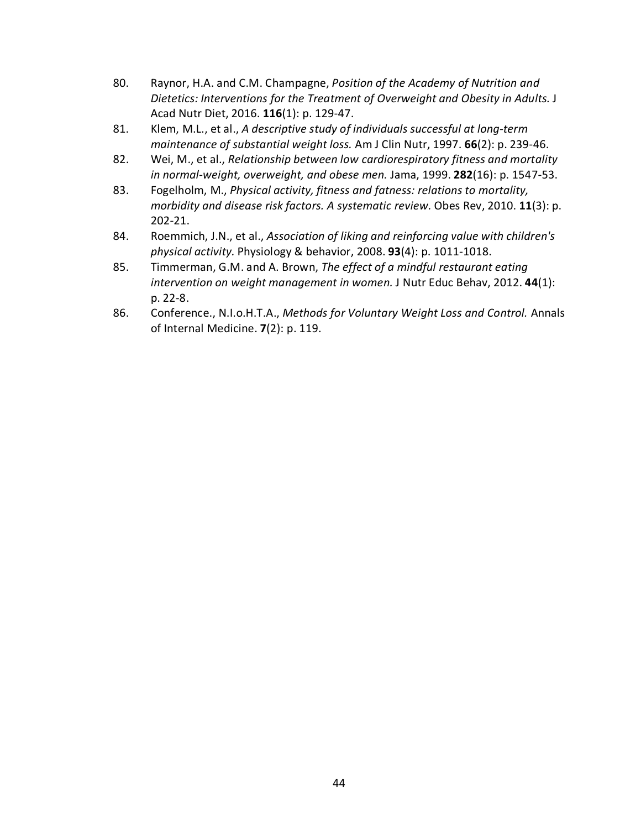- 80. Raynor, H.A. and C.M. Champagne, *Position of the Academy of Nutrition and Dietetics: Interventions for the Treatment of Overweight and Obesity in Adults.* J Acad Nutr Diet, 2016. **116**(1): p. 129-47.
- 81. Klem, M.L., et al., *A descriptive study of individuals successful at long-term maintenance of substantial weight loss.* Am J Clin Nutr, 1997. **66**(2): p. 239-46.
- 82. Wei, M., et al., *Relationship between low cardiorespiratory fitness and mortality in normal-weight, overweight, and obese men.* Jama, 1999. **282**(16): p. 1547-53.
- 83. Fogelholm, M., *Physical activity, fitness and fatness: relations to mortality, morbidity and disease risk factors. A systematic review.* Obes Rev, 2010. **11**(3): p. 202-21.
- 84. Roemmich, J.N., et al., *Association of liking and reinforcing value with children's physical activity.* Physiology & behavior, 2008. **93**(4): p. 1011-1018.
- 85. Timmerman, G.M. and A. Brown, *The effect of a mindful restaurant eating intervention on weight management in women.* J Nutr Educ Behav, 2012. **44**(1): p. 22-8.
- 86. Conference., N.I.o.H.T.A., *Methods for Voluntary Weight Loss and Control.* Annals of Internal Medicine. **7**(2): p. 119.